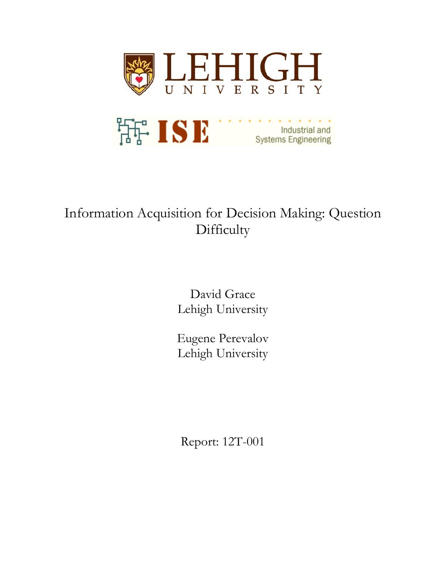

# Information Acquisition for Decision Making: Question **Difficulty**

David Grace Lehigh University

Eugene Perevalov Lehigh University

Report: 12T-001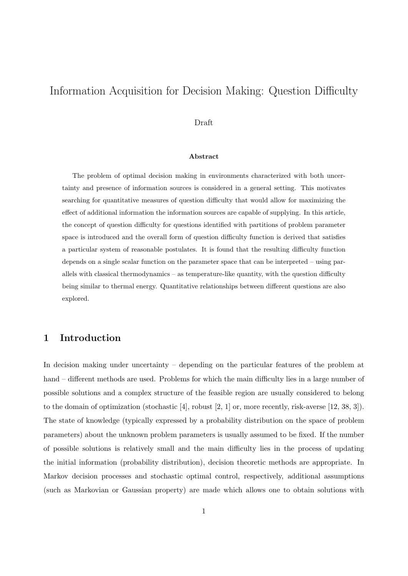## Information Acquisition for Decision Making: Question Difficulty

#### Draft

#### **Abstract**

The problem of optimal decision making in environments characterized with both uncertainty and presence of information sources is considered in a general setting. This motivates searching for quantitative measures of question difficulty that would allow for maximizing the effect of additional information the information sources are capable of supplying. In this article, the concept of question difficulty for questions identified with partitions of problem parameter space is introduced and the overall form of question difficulty function is derived that satisfies a particular system of reasonable postulates. It is found that the resulting difficulty function depends on a single scalar function on the parameter space that can be interpreted – using parallels with classical thermodynamics – as temperature-like quantity, with the question difficulty being similar to thermal energy. Quantitative relationships between different questions are also explored.

### **1 Introduction**

In decision making under uncertainty – depending on the particular features of the problem at hand – different methods are used. Problems for which the main difficulty lies in a large number of possible solutions and a complex structure of the feasible region are usually considered to belong to the domain of optimization (stochastic [4], robust [2, 1] or, more recently, risk-averse [12, 38, 3]). The state of knowledge (typically expressed by a probability distribution on the space of problem parameters) about the unknown problem parameters is usually assumed to be fixed. If the number of possible solutions is relatively small and the main difficulty lies in the process of updating the initial information (probability distribution), decision theoretic methods are appropriate. In Markov decision processes and stochastic optimal control, respectively, additional assumptions (such as Markovian or Gaussian property) are made which allows one to obtain solutions with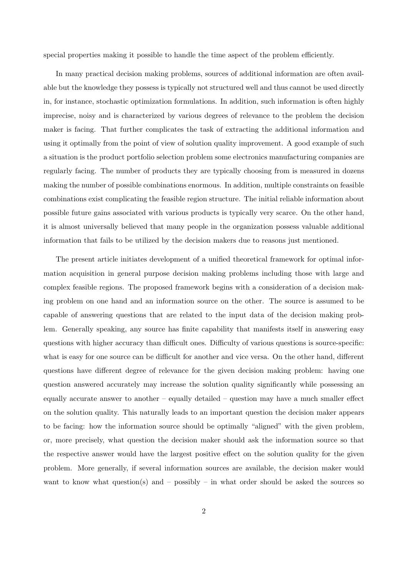special properties making it possible to handle the time aspect of the problem efficiently.

In many practical decision making problems, sources of additional information are often available but the knowledge they possess is typically not structured well and thus cannot be used directly in, for instance, stochastic optimization formulations. In addition, such information is often highly imprecise, noisy and is characterized by various degrees of relevance to the problem the decision maker is facing. That further complicates the task of extracting the additional information and using it optimally from the point of view of solution quality improvement. A good example of such a situation is the product portfolio selection problem some electronics manufacturing companies are regularly facing. The number of products they are typically choosing from is measured in dozens making the number of possible combinations enormous. In addition, multiple constraints on feasible combinations exist complicating the feasible region structure. The initial reliable information about possible future gains associated with various products is typically very scarce. On the other hand, it is almost universally believed that many people in the organization possess valuable additional information that fails to be utilized by the decision makers due to reasons just mentioned.

The present article initiates development of a unified theoretical framework for optimal information acquisition in general purpose decision making problems including those with large and complex feasible regions. The proposed framework begins with a consideration of a decision making problem on one hand and an information source on the other. The source is assumed to be capable of answering questions that are related to the input data of the decision making problem. Generally speaking, any source has finite capability that manifests itself in answering easy questions with higher accuracy than difficult ones. Difficulty of various questions is source-specific: what is easy for one source can be difficult for another and vice versa. On the other hand, different questions have different degree of relevance for the given decision making problem: having one question answered accurately may increase the solution quality significantly while possessing an equally accurate answer to another – equally detailed – question may have a much smaller effect on the solution quality. This naturally leads to an important question the decision maker appears to be facing: how the information source should be optimally "aligned" with the given problem, or, more precisely, what question the decision maker should ask the information source so that the respective answer would have the largest positive effect on the solution quality for the given problem. More generally, if several information sources are available, the decision maker would want to know what question(s) and  $-$  possibly  $-$  in what order should be asked the sources so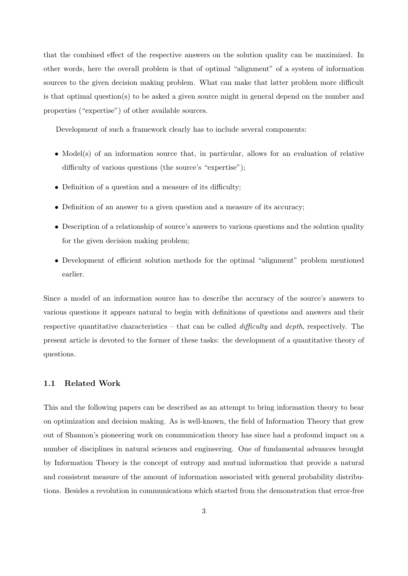that the combined effect of the respective answers on the solution quality can be maximized. In other words, here the overall problem is that of optimal "alignment" of a system of information sources to the given decision making problem. What can make that latter problem more difficult is that optimal question(s) to be asked a given source might in general depend on the number and properties ("expertise") of other available sources.

Development of such a framework clearly has to include several components:

- Model(s) of an information source that, in particular, allows for an evaluation of relative difficulty of various questions (the source's "expertise");
- Definition of a question and a measure of its difficulty;
- Definition of an answer to a given question and a measure of its accuracy:
- Description of a relationship of source's answers to various questions and the solution quality for the given decision making problem;
- Development of efficient solution methods for the optimal "alignment" problem mentioned earlier.

Since a model of an information source has to describe the accuracy of the source's answers to various questions it appears natural to begin with definitions of questions and answers and their respective quantitative characteristics – that can be called *difficulty* and *depth*, respectively. The present article is devoted to the former of these tasks: the development of a quantitative theory of questions.

#### **1.1 Related Work**

This and the following papers can be described as an attempt to bring information theory to bear on optimization and decision making. As is well-known, the field of Information Theory that grew out of Shannon's pioneering work on communication theory has since had a profound impact on a number of disciplines in natural sciences and engineering. One of fundamental advances brought by Information Theory is the concept of entropy and mutual information that provide a natural and consistent measure of the amount of information associated with general probability distributions. Besides a revolution in communications which started from the demonstration that error-free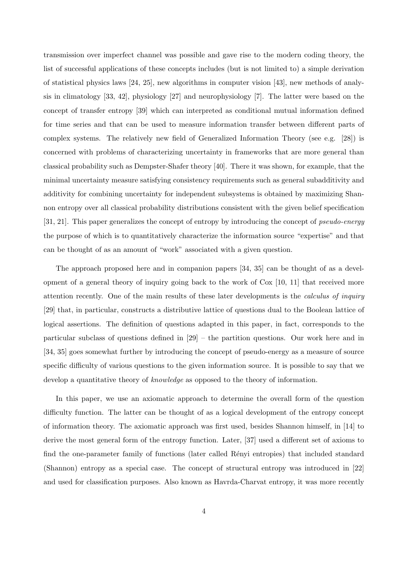transmission over imperfect channel was possible and gave rise to the modern coding theory, the list of successful applications of these concepts includes (but is not limited to) a simple derivation of statistical physics laws [24, 25], new algorithms in computer vision [43], new methods of analysis in climatology [33, 42], physiology [27] and neurophysiology [7]. The latter were based on the concept of transfer entropy [39] which can interpreted as conditional mutual information defined for time series and that can be used to measure information transfer between different parts of complex systems. The relatively new field of Generalized Information Theory (see e.g. [28]) is concerned with problems of characterizing uncertainty in frameworks that are more general than classical probability such as Dempster-Shafer theory [40]. There it was shown, for example, that the minimal uncertainty measure satisfying consistency requirements such as general subadditivity and additivity for combining uncertainty for independent subsystems is obtained by maximizing Shannon entropy over all classical probability distributions consistent with the given belief specification [31, 21]. This paper generalizes the concept of entropy by introducing the concept of *pseudo-energy* the purpose of which is to quantitatively characterize the information source "expertise" and that can be thought of as an amount of "work" associated with a given question.

The approach proposed here and in companion papers [34, 35] can be thought of as a development of a general theory of inquiry going back to the work of Cox [10, 11] that received more attention recently. One of the main results of these later developments is the *calculus of inquiry* [29] that, in particular, constructs a distributive lattice of questions dual to the Boolean lattice of logical assertions. The definition of questions adapted in this paper, in fact, corresponds to the particular subclass of questions defined in [29] – the partition questions. Our work here and in [34, 35] goes somewhat further by introducing the concept of pseudo-energy as a measure of source specific difficulty of various questions to the given information source. It is possible to say that we develop a quantitative theory of *knowledge* as opposed to the theory of information.

In this paper, we use an axiomatic approach to determine the overall form of the question difficulty function. The latter can be thought of as a logical development of the entropy concept of information theory. The axiomatic approach was first used, besides Shannon himself, in [14] to derive the most general form of the entropy function. Later, [37] used a different set of axioms to find the one-parameter family of functions (later called Rényi entropies) that included standard (Shannon) entropy as a special case. The concept of structural entropy was introduced in [22] and used for classification purposes. Also known as Havrda-Charvat entropy, it was more recently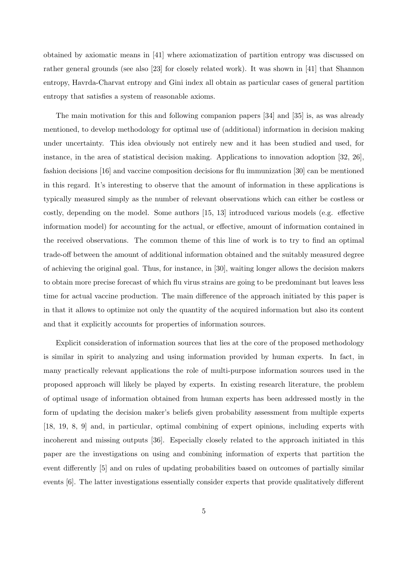obtained by axiomatic means in [41] where axiomatization of partition entropy was discussed on rather general grounds (see also [23] for closely related work). It was shown in [41] that Shannon entropy, Havrda-Charvat entropy and Gini index all obtain as particular cases of general partition entropy that satisfies a system of reasonable axioms.

The main motivation for this and following companion papers [34] and [35] is, as was already mentioned, to develop methodology for optimal use of (additional) information in decision making under uncertainty. This idea obviously not entirely new and it has been studied and used, for instance, in the area of statistical decision making. Applications to innovation adoption [32, 26], fashion decisions [16] and vaccine composition decisions for flu immunization [30] can be mentioned in this regard. It's interesting to observe that the amount of information in these applications is typically measured simply as the number of relevant observations which can either be costless or costly, depending on the model. Some authors [15, 13] introduced various models (e.g. effective information model) for accounting for the actual, or effective, amount of information contained in the received observations. The common theme of this line of work is to try to find an optimal trade-off between the amount of additional information obtained and the suitably measured degree of achieving the original goal. Thus, for instance, in [30], waiting longer allows the decision makers to obtain more precise forecast of which flu virus strains are going to be predominant but leaves less time for actual vaccine production. The main difference of the approach initiated by this paper is in that it allows to optimize not only the quantity of the acquired information but also its content and that it explicitly accounts for properties of information sources.

Explicit consideration of information sources that lies at the core of the proposed methodology is similar in spirit to analyzing and using information provided by human experts. In fact, in many practically relevant applications the role of multi-purpose information sources used in the proposed approach will likely be played by experts. In existing research literature, the problem of optimal usage of information obtained from human experts has been addressed mostly in the form of updating the decision maker's beliefs given probability assessment from multiple experts [18, 19, 8, 9] and, in particular, optimal combining of expert opinions, including experts with incoherent and missing outputs [36]. Especially closely related to the approach initiated in this paper are the investigations on using and combining information of experts that partition the event differently [5] and on rules of updating probabilities based on outcomes of partially similar events [6]. The latter investigations essentially consider experts that provide qualitatively different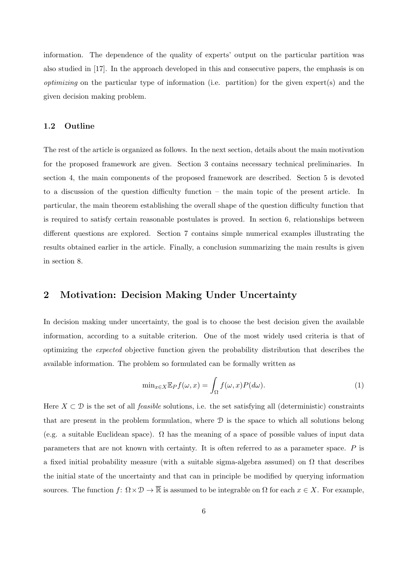information. The dependence of the quality of experts' output on the particular partition was also studied in [17]. In the approach developed in this and consecutive papers, the emphasis is on *optimizing* on the particular type of information (i.e. partition) for the given expert(s) and the given decision making problem.

#### **1.2 Outline**

The rest of the article is organized as follows. In the next section, details about the main motivation for the proposed framework are given. Section 3 contains necessary technical preliminaries. In section 4, the main components of the proposed framework are described. Section 5 is devoted to a discussion of the question difficulty function – the main topic of the present article. In particular, the main theorem establishing the overall shape of the question difficulty function that is required to satisfy certain reasonable postulates is proved. In section 6, relationships between different questions are explored. Section 7 contains simple numerical examples illustrating the results obtained earlier in the article. Finally, a conclusion summarizing the main results is given in section 8.

## **2 Motivation: Decision Making Under Uncertainty**

In decision making under uncertainty, the goal is to choose the best decision given the available information, according to a suitable criterion. One of the most widely used criteria is that of optimizing the *expected* objective function given the probability distribution that describes the available information. The problem so formulated can be formally written as

$$
\min_{x \in X} \mathbb{E}_P f(\omega, x) = \int_{\Omega} f(\omega, x) P(d\omega).
$$
\n(1)

Here  $X \subset \mathcal{D}$  is the set of all *feasible* solutions, i.e. the set satisfying all (deterministic) constraints that are present in the problem formulation, where  $\mathcal D$  is the space to which all solutions belong (e.g. a suitable Euclidean space).  $\Omega$  has the meaning of a space of possible values of input data parameters that are not known with certainty. It is often referred to as a parameter space. *P* is a fixed initial probability measure (with a suitable sigma-algebra assumed) on  $\Omega$  that describes the initial state of the uncertainty and that can in principle be modified by querying information sources. The function  $f: \Omega \times \mathcal{D} \to \overline{\mathbb{R}}$  is assumed to be integrable on  $\Omega$  for each  $x \in X$ . For example,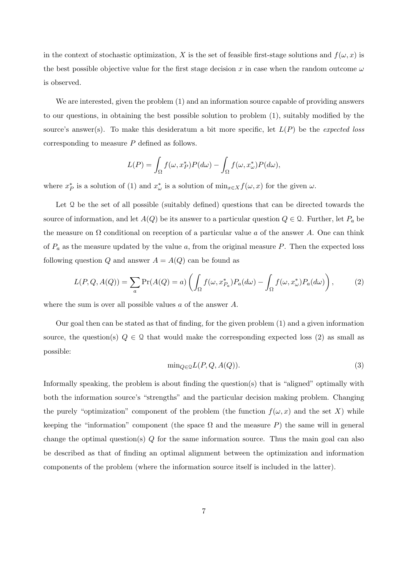in the context of stochastic optimization, *X* is the set of feasible first-stage solutions and  $f(\omega, x)$  is the best possible objective value for the first stage decision *x* in case when the random outcome *ω* is observed.

We are interested, given the problem (1) and an information source capable of providing answers to our questions, in obtaining the best possible solution to problem (1), suitably modified by the source's answer(s). To make this desideratum a bit more specific, let *L*(*P*) be the *expected loss* corresponding to measure *P* defined as follows.

$$
L(P) = \int_{\Omega} f(\omega, x_P^*) P(d\omega) - \int_{\Omega} f(\omega, x_{\omega}^*) P(d\omega),
$$

where  $x_P^*$  is a solution of (1) and  $x_\omega^*$  is a solution of  $\min_{x \in X} f(\omega, x)$  for the given  $\omega$ .

Let  $\Omega$  be the set of all possible (suitably defined) questions that can be directed towards the source of information, and let  $A(Q)$  be its answer to a particular question  $Q \in \mathcal{Q}$ . Further, let  $P_a$  be the measure on  $\Omega$  conditional on reception of a particular value a of the answer A. One can think of *P<sup>a</sup>* as the measure updated by the value *a*, from the original measure *P*. Then the expected loss following question *Q* and answer  $A = A(Q)$  can be found as

$$
L(P,Q,A(Q)) = \sum_{a} \Pr(A(Q) = a) \left( \int_{\Omega} f(\omega, x_{P_a}^*) P_a(d\omega) - \int_{\Omega} f(\omega, x_{\omega}^*) P_a(d\omega) \right), \tag{2}
$$

where the sum is over all possible values *a* of the answer *A*.

Our goal then can be stated as that of finding, for the given problem (1) and a given information source, the question(s)  $Q \in \mathcal{Q}$  that would make the corresponding expected loss (2) as small as possible:

$$
\min_{Q \in \mathcal{Q}} L(P, Q, A(Q)).\tag{3}
$$

Informally speaking, the problem is about finding the question(s) that is "aligned" optimally with both the information source's "strengths" and the particular decision making problem. Changing the purely "optimization" component of the problem (the function  $f(\omega, x)$  and the set X) while keeping the "information" component (the space  $\Omega$  and the measure P) the same will in general change the optimal question(s) *Q* for the same information source. Thus the main goal can also be described as that of finding an optimal alignment between the optimization and information components of the problem (where the information source itself is included in the latter).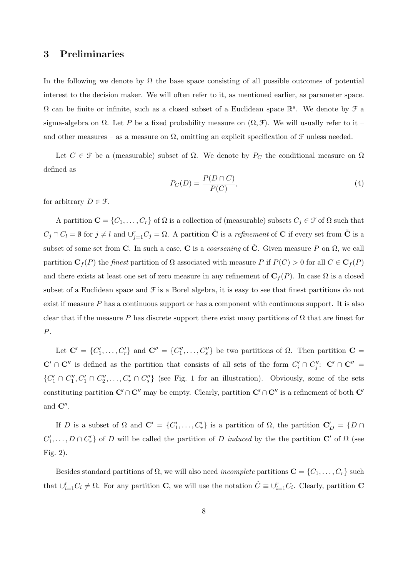## **3 Preliminaries**

In the following we denote by  $\Omega$  the base space consisting of all possible outcomes of potential interest to the decision maker. We will often refer to it, as mentioned earlier, as parameter space.  $\Omega$  can be finite or infinite, such as a closed subset of a Euclidean space  $\mathbb{R}^s$ . We denote by  $\mathcal F$  a sigma-algebra on  $\Omega$ . Let P be a fixed probability measure on  $(\Omega, \mathcal{F})$ . We will usually refer to it – and other measures – as a measure on  $\Omega$ , omitting an explicit specification of  $\mathcal F$  unless needed.

Let  $C \in \mathcal{F}$  be a (measurable) subset of  $\Omega$ . We denote by  $P_C$  the conditional measure on  $\Omega$ defined as

$$
P_C(D) = \frac{P(D \cap C)}{P(C)},\tag{4}
$$

for arbitrary  $D \in \mathcal{F}$ .

A partition  $\mathbf{C} = \{C_1, \ldots, C_r\}$  of  $\Omega$  is a collection of (measurable) subsets  $C_j \in \mathcal{F}$  of  $\Omega$  such that  $C_j \cap C_l = \emptyset$  for  $j \neq l$  and  $\cup_{j=1}^r C_j = \Omega$ . A partition  $\tilde{C}$  is a *refinement* of C if every set from  $\tilde{C}$  is a subset of some set from **C**. In such a case, **C** is a *coarsening* of  $\tilde{C}$ . Given measure P on  $\Omega$ , we call partition **C***<sup>f</sup>* (*P*) the *finest* partition of Ω associated with measure *P* if *P*(*C*) *>* 0 for all *C ∈* **C***<sup>f</sup>* (*P*) and there exists at least one set of zero measure in any refinement of  $\mathbf{C}_f(P)$ . In case  $\Omega$  is a closed subset of a Euclidean space and  $\mathcal F$  is a Borel algebra, it is easy to see that finest partitions do not exist if measure *P* has a continuous support or has a component with continuous support. It is also clear that if the measure *P* has discrete support there exist many partitions of  $\Omega$  that are finest for *P*.

Let  $\mathbf{C}' = \{C'_1, \ldots, C'_r\}$  and  $\mathbf{C}'' = \{C''_1, \ldots, C''_s\}$  be two partitions of  $\Omega$ . Then partition  $\mathbf{C} =$  $\mathbf{C}' \cap \mathbf{C}''$  is defined as the partition that consists of all sets of the form  $C_i' \cap C_j''$ :  $\mathbf{C}' \cap \mathbf{C}'' =$  $\{C'_1 \cap C''_1, C'_1 \cap C''_2, \ldots, C'_r \cap C''_s\}$  (see Fig. 1 for an illustration). Obviously, some of the sets constituting partition  $\mathbf{C}' \cap \mathbf{C}''$  may be empty. Clearly, partition  $\mathbf{C}' \cap \mathbf{C}''$  is a refinement of both  $\mathbf{C}'$ and **C***′′* .

If *D* is a subset of  $\Omega$  and  $\mathbf{C}' = \{C'_1, \ldots, C'_r\}$  is a partition of  $\Omega$ , the partition  $\mathbf{C}'_D = \{D \cap$  $C'_1, \ldots, D \cap C'_r$  of *D* will be called the partition of *D induced* by the the partition **C**<sup>*'*</sup> of  $\Omega$  (see Fig. 2).

Besides standard partitions of  $\Omega$ , we will also need *incomplete* partitions  $\mathbf{C} = \{C_1, \ldots, C_r\}$  such that  $\cup_{i=1}^{r} C_i \neq \Omega$ . For any partition **C**, we will use the notation  $\hat{C} \equiv \cup_{i=1}^{r} C_i$ . Clearly, partition **C**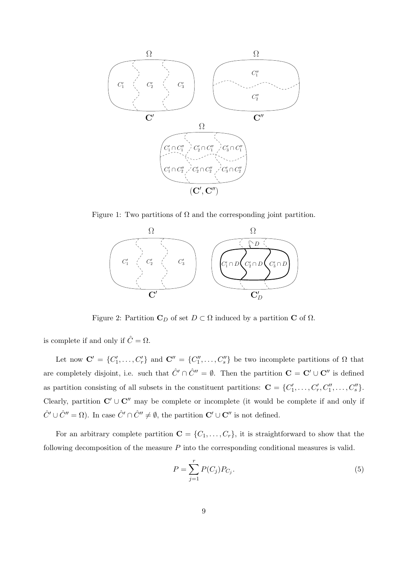

Figure 1: Two partitions of  $\Omega$  and the corresponding joint partition.



Figure 2: Partition  $C_D$  of set  $D \subset \Omega$  induced by a partition **C** of  $\Omega$ .

is complete if and only if  $\hat{C} = \Omega$ .

Let now  $\mathbf{C}' = \{C'_1, \ldots, C'_r\}$  and  $\mathbf{C}'' = \{C''_1, \ldots, C''_s\}$  be two incomplete partitions of  $\Omega$  that are completely disjoint, i.e. such that  $\hat{C}' \cap \hat{C}'' = \emptyset$ . Then the partition  $\mathbf{C} = \mathbf{C}' \cup \mathbf{C}''$  is defined as partition consisting of all subsets in the constituent partitions:  $\mathbf{C} = \{C'_1, \ldots, C'_r, C''_1, \ldots, C''_s\}.$ Clearly, partition  $C' \cup C''$  may be complete or incomplete (it would be complete if and only if  $\hat{C}' \cup \hat{C}'' = \Omega$ ). In case  $\hat{C}' \cap \hat{C}'' \neq \emptyset$ , the partition  $\mathbf{C}' \cup \mathbf{C}''$  is not defined.

For an arbitrary complete partition  $\mathbf{C} = \{C_1, \ldots, C_r\}$ , it is straightforward to show that the following decomposition of the measure *P* into the corresponding conditional measures is valid.

$$
P = \sum_{j=1}^{r} P(C_j) P_{C_j}.
$$
\n(5)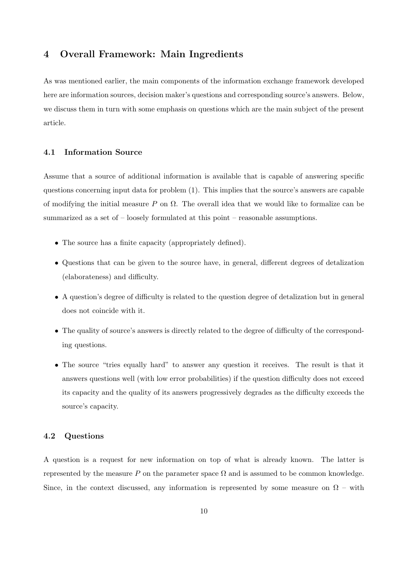## **4 Overall Framework: Main Ingredients**

As was mentioned earlier, the main components of the information exchange framework developed here are information sources, decision maker's questions and corresponding source's answers. Below, we discuss them in turn with some emphasis on questions which are the main subject of the present article.

#### **4.1 Information Source**

Assume that a source of additional information is available that is capable of answering specific questions concerning input data for problem (1). This implies that the source's answers are capable of modifying the initial measure *P* on Ω. The overall idea that we would like to formalize can be summarized as a set of – loosely formulated at this point – reasonable assumptions.

- The source has a finite capacity (appropriately defined).
- Questions that can be given to the source have, in general, different degrees of detalization (elaborateness) and difficulty.
- A question's degree of difficulty is related to the question degree of detalization but in general does not coincide with it.
- The quality of source's answers is directly related to the degree of difficulty of the corresponding questions.
- The source "tries equally hard" to answer any question it receives. The result is that it answers questions well (with low error probabilities) if the question difficulty does not exceed its capacity and the quality of its answers progressively degrades as the difficulty exceeds the source's capacity.

#### **4.2 Questions**

A question is a request for new information on top of what is already known. The latter is represented by the measure  $P$  on the parameter space  $\Omega$  and is assumed to be common knowledge. Since, in the context discussed, any information is represented by some measure on  $\Omega$  – with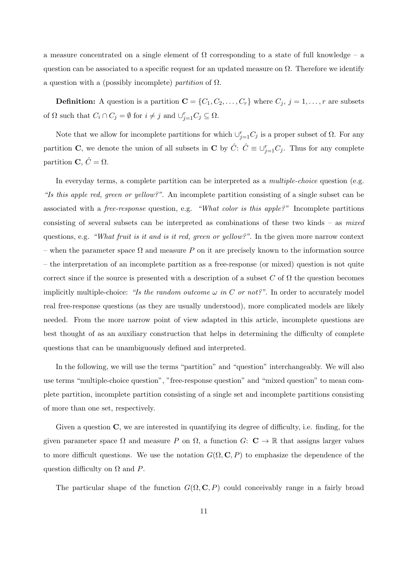a measure concentrated on a single element of  $\Omega$  corresponding to a state of full knowledge – a question can be associated to a specific request for an updated measure on  $\Omega$ . Therefore we identify a question with a (possibly incomplete) *partition* of Ω.

**Definition:** A question is a partition  $\mathbf{C} = \{C_1, C_2, \dots, C_r\}$  where  $C_j$ ,  $j = 1, \dots, r$  are subsets of  $\Omega$  such that  $C_i \cap C_j = \emptyset$  for  $i \neq j$  and  $\bigcup_{j=1}^r C_j \subseteq \Omega$ .

Note that we allow for incomplete partitions for which  $\cup_{j=1}^r C_j$  is a proper subset of  $\Omega$ . For any partition **C**, we denote the union of all subsets in **C** by  $\hat{C}$ :  $\hat{C} \equiv \bigcup_{j=1}^{r} C_j$ . Thus for any complete partition **C**,  $\hat{C} = \Omega$ .

In everyday terms, a complete partition can be interpreted as a *multiple-choice* question (e.g. *"Is this apple red, green or yellow?"*. An incomplete partition consisting of a single subset can be associated with a *free-response* question, e.g. *"What color is this apple?"* Incomplete partitions consisting of several subsets can be interpreted as combinations of these two kinds – as *mixed* questions, e.g. *"What fruit is it and is it red, green or yellow?"*. In the given more narrow context – when the parameter space Ω and measure *P* on it are precisely known to the information source – the interpretation of an incomplete partition as a free-response (or mixed) question is not quite correct since if the source is presented with a description of a subset  $C$  of  $\Omega$  the question becomes implicitly multiple-choice: "Is the random outcome  $\omega$  in C or not?". In order to accurately model real free-response questions (as they are usually understood), more complicated models are likely needed. From the more narrow point of view adapted in this article, incomplete questions are best thought of as an auxiliary construction that helps in determining the difficulty of complete questions that can be unambiguously defined and interpreted.

In the following, we will use the terms "partition" and "question" interchangeably. We will also use terms "multiple-choice question", "free-response question" and "mixed question" to mean complete partition, incomplete partition consisting of a single set and incomplete partitions consisting of more than one set, respectively.

Given a question **C**, we are interested in quantifying its degree of difficulty, i.e. finding, for the given parameter space  $\Omega$  and measure *P* on  $\Omega$ , a function *G*: **C**  $\rightarrow \mathbb{R}$  that assigns larger values to more difficult questions. We use the notation  $G(\Omega, \mathbf{C}, P)$  to emphasize the dependence of the question difficulty on Ω and *P*.

The particular shape of the function  $G(\Omega, \mathbf{C}, P)$  could conceivably range in a fairly broad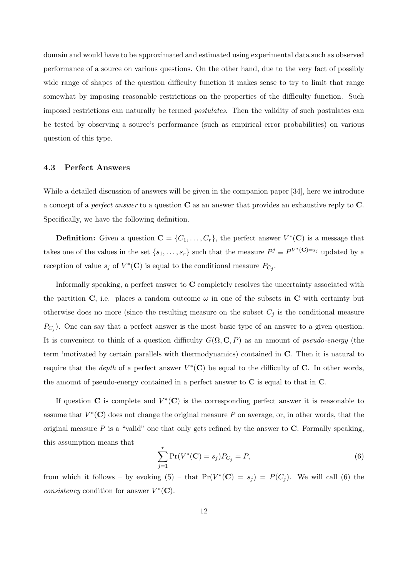domain and would have to be approximated and estimated using experimental data such as observed performance of a source on various questions. On the other hand, due to the very fact of possibly wide range of shapes of the question difficulty function it makes sense to try to limit that range somewhat by imposing reasonable restrictions on the properties of the difficulty function. Such imposed restrictions can naturally be termed *postulates*. Then the validity of such postulates can be tested by observing a source's performance (such as empirical error probabilities) on various question of this type.

#### **4.3 Perfect Answers**

While a detailed discussion of answers will be given in the companion paper [34], here we introduce a concept of a *perfect answer* to a question **C** as an answer that provides an exhaustive reply to **C**. Specifically, we have the following definition.

**Definition:** Given a question  $\mathbf{C} = \{C_1, \ldots, C_r\}$ , the perfect answer  $V^*(\mathbf{C})$  is a message that takes one of the values in the set  $\{s_1, \ldots, s_r\}$  such that the measure  $P^j \equiv P^{V^*(\mathbf{C})=s_j}$  updated by a reception of value  $s_j$  of  $V^*(\mathbf{C})$  is equal to the conditional measure  $P_{C_j}$ .

Informally speaking, a perfect answer to **C** completely resolves the uncertainty associated with the partition **C**, i.e. places a random outcome  $\omega$  in one of the subsets in **C** with certainty but otherwise does no more (since the resulting measure on the subset  $C_j$  is the conditional measure *PC<sup>j</sup>* ). One can say that a perfect answer is the most basic type of an answer to a given question. It is convenient to think of a question difficulty  $G(\Omega, \mathbf{C}, P)$  as an amount of *pseudo-energy* (the term 'motivated by certain parallels with thermodynamics) contained in **C**. Then it is natural to require that the *depth* of a perfect answer  $V^*(\mathbf{C})$  be equal to the difficulty of **C**. In other words, the amount of pseudo-energy contained in a perfect answer to **C** is equal to that in **C**.

If question **C** is complete and  $V^*(\mathbf{C})$  is the corresponding perfect answer it is reasonable to assume that  $V^*(\mathbf{C})$  does not change the original measure P on average, or, in other words, that the original measure  $P$  is a "valid" one that only gets refined by the answer to  $C$ . Formally speaking, this assumption means that

$$
\sum_{j=1}^{r} \Pr(V^*(\mathbf{C}) = s_j) P_{C_j} = P,\tag{6}
$$

from which it follows – by evoking  $(5)$  – that  $Pr(V^*(\mathbf{C}) = s_j) = P(C_j)$ . We will call  $(6)$  the *consistency* condition for answer  $V^*(\mathbf{C})$ .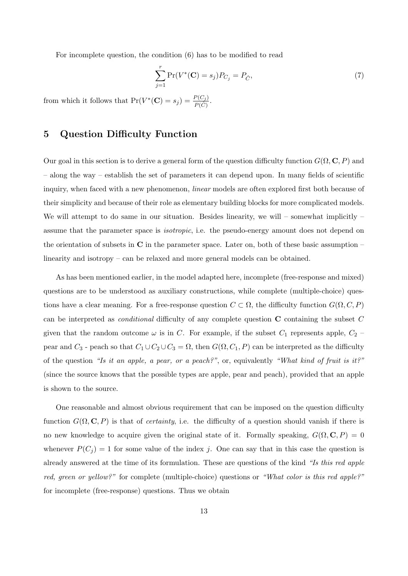For incomplete question, the condition (6) has to be modified to read

$$
\sum_{j=1}^{r} \Pr(V^*(\mathbf{C}) = s_j) P_{C_j} = P_{\hat{C}},\tag{7}
$$

from which it follows that  $Pr(V^*(\mathbf{C}) = s_j) = \frac{P(C_j)}{P(\hat{C})}$ .

## **5 Question Difficulty Function**

Our goal in this section is to derive a general form of the question difficulty function  $G(\Omega, \mathbf{C}, P)$  and – along the way – establish the set of parameters it can depend upon. In many fields of scientific inquiry, when faced with a new phenomenon, *linear* models are often explored first both because of their simplicity and because of their role as elementary building blocks for more complicated models. We will attempt to do same in our situation. Besides linearity, we will – somewhat implicitly – assume that the parameter space is *isotropic*, i.e. the pseudo-energy amount does not depend on the orientation of subsets in **C** in the parameter space. Later on, both of these basic assumption – linearity and isotropy – can be relaxed and more general models can be obtained.

As has been mentioned earlier, in the model adapted here, incomplete (free-response and mixed) questions are to be understood as auxiliary constructions, while complete (multiple-choice) questions have a clear meaning. For a free-response question  $C \subset \Omega$ , the difficulty function  $G(\Omega, C, P)$ can be interpreted as *conditional* difficulty of any complete question **C** containing the subset *C* given that the random outcome  $\omega$  is in *C*. For example, if the subset  $C_1$  represents apple,  $C_2$ pear and  $C_3$  - peach so that  $C_1 \cup C_2 \cup C_3 = \Omega$ , then  $G(\Omega, C_1, P)$  can be interpreted as the difficulty of the question *"Is it an apple, a pear, or a peach?"*, or, equivalently *"What kind of fruit is it?"* (since the source knows that the possible types are apple, pear and peach), provided that an apple is shown to the source.

One reasonable and almost obvious requirement that can be imposed on the question difficulty function  $G(\Omega, \mathbf{C}, P)$  is that of *certainty*, i.e. the difficulty of a question should vanish if there is no new knowledge to acquire given the original state of it. Formally speaking,  $G(\Omega, \mathbf{C}, P) = 0$ whenever  $P(C_i) = 1$  for some value of the index *j*. One can say that in this case the question is already answered at the time of its formulation. These are questions of the kind *"Is this red apple red, green or yellow?"* for complete (multiple-choice) questions or *"What color is this red apple?"* for incomplete (free-response) questions. Thus we obtain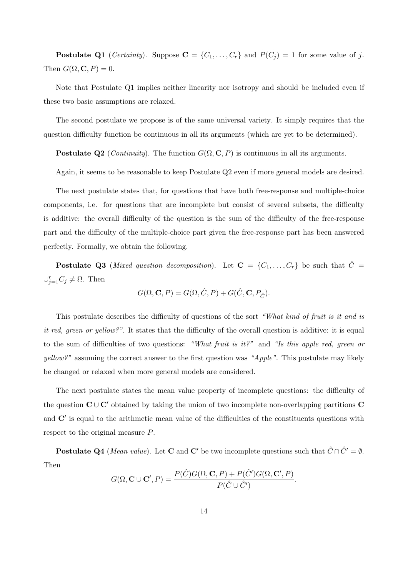**Postulate Q1** (*Certainty*). Suppose  $\mathbf{C} = \{C_1, \ldots, C_r\}$  and  $P(C_j) = 1$  for some value of *j*. Then  $G(\Omega, \mathbf{C}, P) = 0$ .

Note that Postulate Q1 implies neither linearity nor isotropy and should be included even if these two basic assumptions are relaxed.

The second postulate we propose is of the same universal variety. It simply requires that the question difficulty function be continuous in all its arguments (which are yet to be determined).

**Postulate Q2** (*Continuity*). The function  $G(\Omega, \mathbf{C}, P)$  is continuous in all its arguments.

Again, it seems to be reasonable to keep Postulate Q2 even if more general models are desired.

The next postulate states that, for questions that have both free-response and multiple-choice components, i.e. for questions that are incomplete but consist of several subsets, the difficulty is additive: the overall difficulty of the question is the sum of the difficulty of the free-response part and the difficulty of the multiple-choice part given the free-response part has been answered perfectly. Formally, we obtain the following.

**Postulate Q3** (*Mixed question decomposition*). Let  $C = \{C_1, \ldots, C_r\}$  be such that  $\hat{C}$  $∪_{j=1}^r C_j ≠ Ω$ . Then

$$
G(\Omega, {\bf C}, P) = G(\Omega, \hat{C}, P) + G(\hat{C}, {\bf C}, P_{\hat{C}}).
$$

This postulate describes the difficulty of questions of the sort *"What kind of fruit is it and is it red, green or yellow?"*. It states that the difficulty of the overall question is additive: it is equal to the sum of difficulties of two questions: *"What fruit is it?"* and *"Is this apple red, green or yellow?"* assuming the correct answer to the first question was *"Apple"*. This postulate may likely be changed or relaxed when more general models are considered.

The next postulate states the mean value property of incomplete questions: the difficulty of the question  $C \cup C'$  obtained by taking the union of two incomplete non-overlapping partitions  $C$ and **C***′* is equal to the arithmetic mean value of the difficulties of the constituents questions with respect to the original measure *P*.

**Postulate Q4** (*Mean value*). Let **C** and **C**<sup>*′*</sup> be two incomplete questions such that  $\hat{C} \cap \hat{C}' = \emptyset$ . Then

$$
G(\Omega, \mathbf{C} \cup \mathbf{C}', P) = \frac{P(\hat{C})G(\Omega, \mathbf{C}, P) + P(\hat{C}')G(\Omega, \mathbf{C}', P)}{P(\hat{C} \cup \hat{C}')}
$$

*.*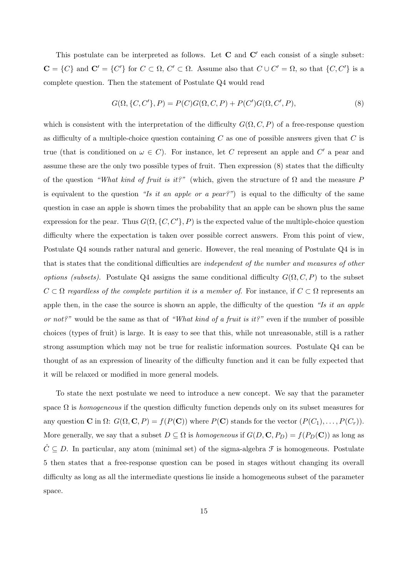This postulate can be interpreted as follows. Let **C** and **C***′* each consist of a single subset:  $\mathbf{C} = \{C\}$  and  $\mathbf{C}' = \{C'\}$  for  $C \subset \Omega$ ,  $C' \subset \Omega$ . Assume also that  $C \cup C' = \Omega$ , so that  $\{C, C'\}$  is a complete question. Then the statement of Postulate Q4 would read

$$
G(\Omega, \{C, C'\}, P) = P(C)G(\Omega, C, P) + P(C')G(\Omega, C', P),
$$
\n(8)

which is consistent with the interpretation of the difficulty  $G(\Omega, C, P)$  of a free-response question as difficulty of a multiple-choice question containing *C* as one of possible answers given that *C* is true (that is conditioned on  $\omega \in C$ ). For instance, let *C* represent an apple and *C'* a pear and assume these are the only two possible types of fruit. Then expression (8) states that the difficulty of the question *"What kind of fruit is it?"* (which, given the structure of  $\Omega$  and the measure P is equivalent to the question *"Is it an apple or a pear?"*) is equal to the difficulty of the same question in case an apple is shown times the probability that an apple can be shown plus the same expression for the pear. Thus  $G(\Omega, \{C, C'\}, P)$  is the expected value of the multiple-choice question difficulty where the expectation is taken over possible correct answers. From this point of view, Postulate Q4 sounds rather natural and generic. However, the real meaning of Postulate Q4 is in that is states that the conditional difficulties are *independent of the number and measures of other options (subsets).* Postulate Q4 assigns the same conditional difficulty  $G(\Omega, C, P)$  to the subset  $C \subset \Omega$  *regardless of the complete partition it is a member of.* For instance, if  $C \subset \Omega$  represents an apple then, in the case the source is shown an apple, the difficulty of the question *"Is it an apple or not?"* would be the same as that of *"What kind of a fruit is it?"* even if the number of possible choices (types of fruit) is large. It is easy to see that this, while not unreasonable, still is a rather strong assumption which may not be true for realistic information sources. Postulate Q4 can be thought of as an expression of linearity of the difficulty function and it can be fully expected that it will be relaxed or modified in more general models.

To state the next postulate we need to introduce a new concept. We say that the parameter space  $\Omega$  is *homogeneous* if the question difficulty function depends only on its subset measures for any question **C** in  $\Omega$ :  $G(\Omega, \mathbf{C}, P) = f(P(\mathbf{C}))$  where  $P(\mathbf{C})$  stands for the vector  $(P(C_1), \ldots, P(C_r))$ . More generally, we say that a subset  $D \subseteq \Omega$  is *homogeneous* if  $G(D, \mathbf{C}, P_D) = f(P_D(\mathbf{C}))$  as long as  $\hat{C} \subseteq D$ . In particular, any atom (minimal set) of the sigma-algebra  $\mathcal{F}$  is homogeneous. Postulate 5 then states that a free-response question can be posed in stages without changing its overall difficulty as long as all the intermediate questions lie inside a homogeneous subset of the parameter space.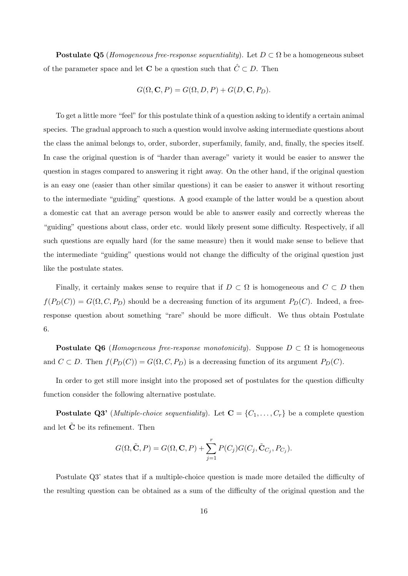**Postulate Q5** (*Homogeneous free-response sequentiality*). Let  $D \subset \Omega$  be a homogeneous subset of the parameter space and let **C** be a question such that  $\hat{C} \subset D$ . Then

$$
G(\Omega, \mathbf{C}, P) = G(\Omega, D, P) + G(D, \mathbf{C}, P_D).
$$

To get a little more "feel" for this postulate think of a question asking to identify a certain animal species. The gradual approach to such a question would involve asking intermediate questions about the class the animal belongs to, order, suborder, superfamily, family, and, finally, the species itself. In case the original question is of "harder than average" variety it would be easier to answer the question in stages compared to answering it right away. On the other hand, if the original question is an easy one (easier than other similar questions) it can be easier to answer it without resorting to the intermediate "guiding" questions. A good example of the latter would be a question about a domestic cat that an average person would be able to answer easily and correctly whereas the "guiding" questions about class, order etc. would likely present some difficulty. Respectively, if all such questions are equally hard (for the same measure) then it would make sense to believe that the intermediate "guiding" questions would not change the difficulty of the original question just like the postulate states.

Finally, it certainly makes sense to require that if  $D \subset \Omega$  is homogeneous and  $C \subset D$  then  $f(P_D(C)) = G(\Omega, C, P_D)$  should be a decreasing function of its argument  $P_D(C)$ . Indeed, a freeresponse question about something "rare" should be more difficult. We thus obtain Postulate 6.

**Postulate Q6** (*Homogeneous free-response monotonicity*). Suppose  $D \subset \Omega$  is homogeneous and  $C \subset D$ . Then  $f(P_D(C)) = G(\Omega, C, P_D)$  is a decreasing function of its argument  $P_D(C)$ .

In order to get still more insight into the proposed set of postulates for the question difficulty function consider the following alternative postulate.

**Postulate Q3'** (*Multiple-choice sequentiality*). Let  $\mathbf{C} = \{C_1, \ldots, C_r\}$  be a complete question and let **C** be its refinement. Then

$$
G(\Omega, \tilde{\mathbf{C}}, P) = G(\Omega, \mathbf{C}, P) + \sum_{j=1}^{r} P(C_j) G(C_j, \tilde{\mathbf{C}}_{C_j}, P_{C_j}).
$$

Postulate Q3' states that if a multiple-choice question is made more detailed the difficulty of the resulting question can be obtained as a sum of the difficulty of the original question and the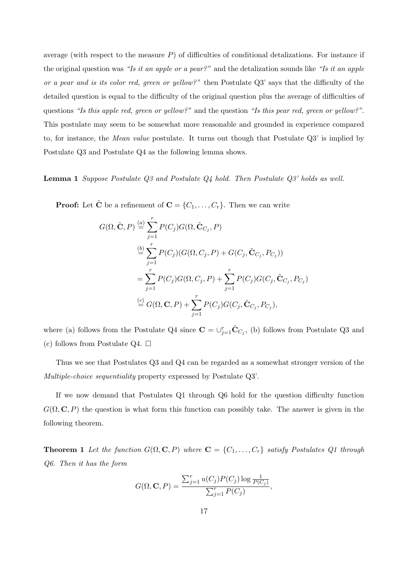average (with respect to the measure *P*) of difficulties of conditional detalizations. For instance if the original question was *"Is it an apple or a pear?"* and the detalization sounds like *"Is it an apple or a pear and is its color red, green or yellow?"* then Postulate Q3' says that the difficulty of the detailed question is equal to the difficulty of the original question plus the average of difficulties of questions *"Is this apple red, green or yellow?"* and the question *"Is this pear red, green or yellow?"*. This postulate may seem to be somewhat more reasonable and grounded in experience compared to, for instance, the *Mean value* postulate. It turns out though that Postulate Q3' is implied by Postulate Q3 and Postulate Q4 as the following lemma shows.

**Lemma 1** *Suppose Postulate Q3 and Postulate Q4 hold. Then Postulate Q3' holds as well.*

**Proof:** Let  $\tilde{C}$  be a refinement of  $C = \{C_1, \ldots, C_r\}$ . Then we can write

$$
G(\Omega, \tilde{\mathbf{C}}, P) \stackrel{(a)}{=} \sum_{j=1}^{r} P(C_j) G(\Omega, \tilde{\mathbf{C}}_{C_j}, P)
$$
  
\n
$$
\stackrel{(b)}{=} \sum_{j=1}^{r} P(C_j) (G(\Omega, C_j, P) + G(C_j, \tilde{\mathbf{C}}_{C_j}, P_{C_j}))
$$
  
\n
$$
= \sum_{j=1}^{r} P(C_j) G(\Omega, C_j, P) + \sum_{j=1}^{r} P(C_j) G(C_j, \tilde{\mathbf{C}}_{C_j}, P_{C_j})
$$
  
\n
$$
\stackrel{(c)}{=} G(\Omega, \mathbf{C}, P) + \sum_{j=1}^{r} P(C_j) G(C_j, \tilde{\mathbf{C}}_{C_j}, P_{C_j}),
$$

where (a) follows from the Postulate Q4 since  $\mathbf{C} = \cup_{j=1}^r \tilde{\mathbf{C}}_{C_j}$ , (b) follows from Postulate Q3 and (c) follows from Postulate Q4.  $\Box$ 

Thus we see that Postulates Q3 and Q4 can be regarded as a somewhat stronger version of the *Multiple-choice sequentiality* property expressed by Postulate Q3'.

If we now demand that Postulates Q1 through Q6 hold for the question difficulty function  $G(\Omega, \mathbf{C}, P)$  the question is what form this function can possibly take. The answer is given in the following theorem.

**Theorem 1** Let the function  $G(\Omega, \mathbf{C}, P)$  where  $\mathbf{C} = \{C_1, \ldots, C_r\}$  satisfy Postulates Q1 through *Q6. Then it has the form*

$$
G(\Omega, \mathbf{C}, P) = \frac{\sum_{j=1}^{r} u(C_j) P(C_j) \log \frac{1}{P(C_j)}}{\sum_{j=1}^{r} P(C_j)},
$$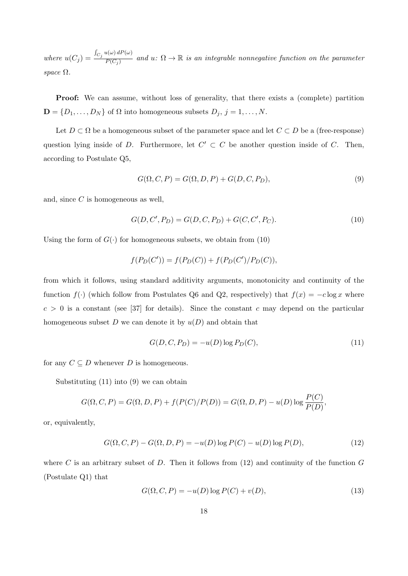*where*  $u(C_j) =$  $\int_{C_j} u(\omega) dP(\omega)$  $\overline{P(C_j)}$  and  $u: \Omega \to \mathbb{R}$  is an integrable nonnegative function on the parameter *space* Ω*.*

**Proof:** We can assume, without loss of generality, that there exists a (complete) partition  $\mathbf{D} = \{D_1, \ldots, D_N\}$  of  $\Omega$  into homogeneous subsets  $D_j$ ,  $j = 1, \ldots, N$ .

Let  $D \subset \Omega$  be a homogeneous subset of the parameter space and let  $C \subset D$  be a (free-response) question lying inside of *D*. Furthermore, let  $C' \subset C$  be another question inside of *C*. Then, according to Postulate Q5,

$$
G(\Omega, C, P) = G(\Omega, D, P) + G(D, C, P_D),\tag{9}
$$

and, since *C* is homogeneous as well,

$$
G(D, C', P_D) = G(D, C, P_D) + G(C, C', P_C).
$$
\n(10)

Using the form of  $G(\cdot)$  for homogeneous subsets, we obtain from (10)

$$
f(P_D(C')) = f(P_D(C)) + f(P_D(C')/P_D(C)),
$$

from which it follows, using standard additivity arguments, monotonicity and continuity of the function  $f(\cdot)$  (which follow from Postulates Q6 and Q2, respectively) that  $f(x) = -c \log x$  where  $c > 0$  is a constant (see [37] for details). Since the constant *c* may depend on the particular homogeneous subset *D* we can denote it by *u*(*D*) and obtain that

$$
G(D, C, P_D) = -u(D) \log P_D(C),\tag{11}
$$

for any  $C \subseteq D$  whenever *D* is homogeneous.

Substituting (11) into (9) we can obtain

$$
G(\Omega, C, P) = G(\Omega, D, P) + f(P(C)/P(D)) = G(\Omega, D, P) - u(D) \log \frac{P(C)}{P(D)},
$$

or, equivalently,

$$
G(\Omega, C, P) - G(\Omega, D, P) = -u(D) \log P(C) - u(D) \log P(D),
$$
\n(12)

where *C* is an arbitrary subset of *D*. Then it follows from (12) and continuity of the function *G* (Postulate Q1) that

$$
G(\Omega, C, P) = -u(D) \log P(C) + v(D),\tag{13}
$$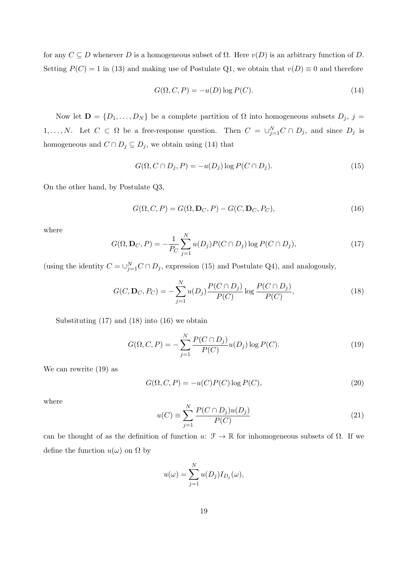for any  $C \subseteq D$  whenever  $D$  is a homogeneous subset of  $\Omega$ . Here  $v(D)$  is an arbitrary function of  $D$ . Setting  $P(C) = 1$  in (13) and making use of Postulate Q1, we obtain that  $v(D) \equiv 0$  and therefore

$$
G(\Omega, C, P) = -u(D) \log P(C). \tag{14}
$$

Now let  $\mathbf{D} = \{D_1, \ldots, D_N\}$  be a complete partition of  $\Omega$  into homogeneous subsets  $D_j$ ,  $j =$ 1,..., N. Let  $C \subset \Omega$  be a free-response question. Then  $C = \bigcup_{j=1}^{N} C \cap D_j$ , and since  $D_j$  is homogeneous and  $C \cap D_j \subseteq D_j$ , we obtain using (14) that

$$
G(\Omega, C \cap D_j, P) = -u(D_j) \log P(C \cap D_j).
$$
\n(15)

On the other hand, by Postulate Q3,

$$
G(\Omega, C, P) = G(\Omega, \mathbf{D}_C, P) - G(C, \mathbf{D}_C, P_C),
$$
\n(16)

where

$$
G(\Omega, \mathbf{D}_C, P) = -\frac{1}{P_C} \sum_{j=1}^{N} u(D_j) P(C \cap D_j) \log P(C \cap D_j), \qquad (17)
$$

(using the identity  $C = \bigcup_{j=1}^{N} C \cap D_j$ , expression (15) and Postulate Q4), and analogously,

$$
G(C, \mathbf{D}_C, P_C) = -\sum_{j=1}^{N} u(D_j) \frac{P(C \cap D_j)}{P(C)} \log \frac{P(C \cap D_j)}{P(C)},
$$
\n(18)

Substituting (17) and (18) into (16) we obtain

$$
G(\Omega, C, P) = -\sum_{j=1}^{N} \frac{P(C \cap D_j)}{P(C)} u(D_j) \log P(C).
$$
 (19)

We can rewrite (19) as

$$
G(\Omega, C, P) = -u(C)P(C)\log P(C),\tag{20}
$$

where

$$
u(C) \equiv \sum_{j=1}^{N} \frac{P(C \cap D_j)u(D_j)}{P(C)}
$$
\n
$$
(21)
$$

can be thought of as the definition of function *u*:  $\mathcal{F} \to \mathbb{R}$  for inhomogeneous subsets of  $\Omega$ . If we define the function  $u(\omega)$  on  $\Omega$  by

$$
u(\omega) = \sum_{j=1}^{N} u(D_j) I_{D_j}(\omega),
$$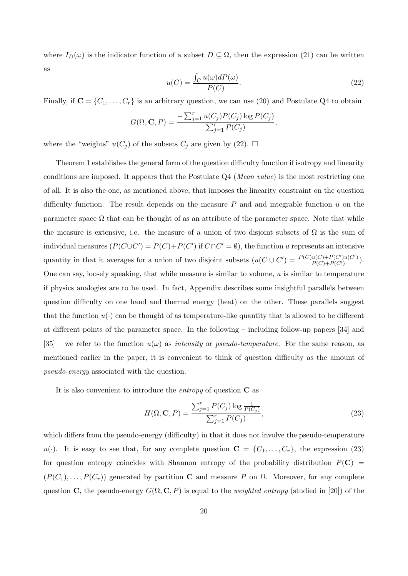where  $I_D(\omega)$  is the indicator function of a subset  $D \subseteq \Omega$ , then the expression (21) can be written as

$$
u(C) = \frac{\int_C u(\omega)dP(\omega)}{P(C)}.
$$
\n(22)

Finally, if  $\mathbf{C} = \{C_1, \ldots, C_r\}$  is an arbitrary question, we can use (20) and Postulate Q4 to obtain

$$
G(\Omega, \mathbf{C}, P) = \frac{-\sum_{j=1}^{r} u(C_j) P(C_j) \log P(C_j)}{\sum_{j=1}^{r} P(C_j)},
$$

where the "weights"  $u(C_j)$  of the subsets  $C_j$  are given by (22).  $\Box$ 

Theorem 1 establishes the general form of the question difficulty function if isotropy and linearity conditions are imposed. It appears that the Postulate Q4 (*Mean value*) is the most restricting one of all. It is also the one, as mentioned above, that imposes the linearity constraint on the question difficulty function. The result depends on the measure *P* and and integrable function *u* on the parameter space  $\Omega$  that can be thought of as an attribute of the parameter space. Note that while the measure is extensive, i.e. the measure of a union of two disjoint subsets of  $\Omega$  is the sum of individual measures  $(P(C \cup C') = P(C) + P(C')$  if  $C \cap C' = \emptyset$ , the function *u* represents an intensive quantity in that it averages for a union of two disjoint subsets  $(u(C \cup C') = \frac{P(C)u(C) + P(C')u(C')}{P(C) + P(C')}$  $\frac{P(C)+P(C')P(C')}{P(C)+P(C')}$ . One can say, loosely speaking, that while measure is similar to volume, *u* is similar to temperature if physics analogies are to be used. In fact, Appendix describes some insightful parallels between question difficulty on one hand and thermal energy (heat) on the other. These parallels suggest that the function  $u(\cdot)$  can be thought of as temperature-like quantity that is allowed to be different at different points of the parameter space. In the following – including follow-up papers [34] and  $[35]$  – we refer to the function  $u(\omega)$  as *intensity* or *pseudo-temperature*. For the same reason, as mentioned earlier in the paper, it is convenient to think of question difficulty as the amount of *pseudo-energy* associated with the question.

It is also convenient to introduce the *entropy* of question **C** as

$$
H(\Omega, \mathbf{C}, P) = \frac{\sum_{j=1}^{r} P(C_j) \log \frac{1}{P(C_j)}}{\sum_{j=1}^{r} P(C_j)},
$$
\n(23)

which differs from the pseudo-energy (difficulty) in that it does not involve the pseudo-temperature  $u(\cdot)$ . It is easy to see that, for any complete question  $\mathbf{C} = \{C_1, \ldots, C_r\}$ , the expression (23) for question entropy coincides with Shannon entropy of the probability distribution  $P(C)$  =  $(P(C_1), \ldots, P(C_r))$  generated by partition **C** and measure *P* on  $\Omega$ . Moreover, for any complete question **C**, the pseudo-energy  $G(\Omega, \mathbf{C}, P)$  is equal to the *weighted entropy* (studied in [20]) of the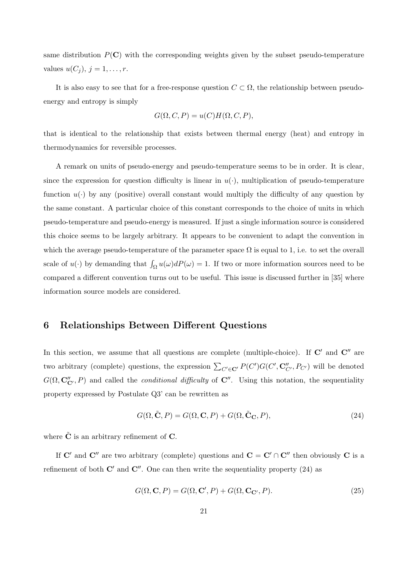same distribution  $P(\mathbf{C})$  with the corresponding weights given by the subset pseudo-temperature *values*  $u(C_j)$ ,  $j = 1, ..., r$ .

It is also easy to see that for a free-response question  $C \subset \Omega$ , the relationship between pseudoenergy and entropy is simply

$$
G(\Omega, C, P) = u(C)H(\Omega, C, P),
$$

that is identical to the relationship that exists between thermal energy (heat) and entropy in thermodynamics for reversible processes.

A remark on units of pseudo-energy and pseudo-temperature seems to be in order. It is clear, since the expression for question difficulty is linear in  $u(\cdot)$ , multiplication of pseudo-temperature function  $u(\cdot)$  by any (positive) overall constant would multiply the difficulty of any question by the same constant. A particular choice of this constant corresponds to the choice of units in which pseudo-temperature and pseudo-energy is measured. If just a single information source is considered this choice seems to be largely arbitrary. It appears to be convenient to adapt the convention in which the average pseudo-temperature of the parameter space  $\Omega$  is equal to 1, i.e. to set the overall scale of  $u(\cdot)$  by demanding that  $\int_{\Omega} u(\omega) dP(\omega) = 1$ . If two or more information sources need to be compared a different convention turns out to be useful. This issue is discussed further in [35] where information source models are considered.

## **6 Relationships Between Different Questions**

In this section, we assume that all questions are complete (multiple-choice). If **C***′* and **C***′′* are two arbitrary (complete) questions, the expression  $\sum_{C' \in \mathbf{C}'} P(C') G(C', \mathbf{C}''_{C'}, P_{C'})$  will be denoted  $G(\Omega, \mathbf{C''_{C'}} , P)$  and called the *conditional difficulty* of  $\mathbf{C''}$ . Using this notation, the sequentiality property expressed by Postulate Q3' can be rewritten as

$$
G(\Omega, \tilde{\mathbf{C}}, P) = G(\Omega, \mathbf{C}, P) + G(\Omega, \tilde{\mathbf{C}}_{\mathbf{C}}, P),
$$
\n(24)

where  $\tilde{\mathbf{C}}$  is an arbitrary refinement of  $\mathbf{C}$ .

If  $\mathbf{C}'$  and  $\mathbf{C}''$  are two arbitrary (complete) questions and  $\mathbf{C} = \mathbf{C}' \cap \mathbf{C}''$  then obviously  $\mathbf{C}$  is a refinement of both  $\mathbb{C}'$  and  $\mathbb{C}''$ . One can then write the sequentiality property (24) as

$$
G(\Omega, \mathbf{C}, P) = G(\Omega, \mathbf{C}', P) + G(\Omega, \mathbf{C}_{\mathbf{C}'}, P). \tag{25}
$$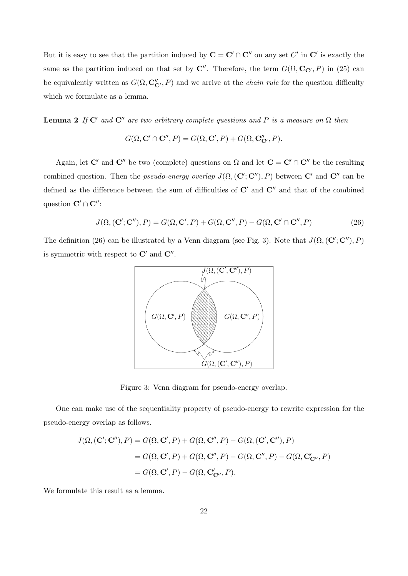But it is easy to see that the partition induced by  $C = C' \cap C''$  on any set  $C'$  in  $C'$  is exactly the same as the partition induced on that set by  $\mathbb{C}^{\prime\prime}$ . Therefore, the term  $G(\Omega, \mathbb{C}_{\mathbb{C}^{\prime}}, P)$  in (25) can be equivalently written as  $G(\Omega, \mathbf{C}''_{\mathbf{C}'}, P)$  and we arrive at the *chain rule* for the question difficulty which we formulate as a lemma.

**Lemma 2** *If*  $\mathbb{C}^{\prime}$  *and*  $\mathbb{C}^{\prime\prime}$  *are two arbitrary complete questions and P is a measure on*  $\Omega$  *then* 

$$
G(\Omega, \mathbf{C}' \cap \mathbf{C}'', P) = G(\Omega, \mathbf{C}', P) + G(\Omega, \mathbf{C''}_{\mathbf{C}'}, P).
$$

Again, let **C**<sup>*'*</sup> and **C**<sup>*''*</sup> be two (complete) questions on  $\Omega$  and let  $\mathbf{C} = \mathbf{C}' \cap \mathbf{C}''$  be the resulting combined question. Then the *pseudo-energy overlap*  $J(\Omega, (\mathbf{C}'; \mathbf{C}''), P)$  between  $\mathbf{C}'$  and  $\mathbf{C}''$  can be defined as the difference between the sum of difficulties of **C***′* and **C***′′* and that of the combined question **C***′ ∩* **C***′′*:

$$
J(\Omega, (\mathbf{C}'; \mathbf{C}''), P) = G(\Omega, \mathbf{C}', P) + G(\Omega, \mathbf{C}'', P) - G(\Omega, \mathbf{C}' \cap \mathbf{C}'', P) \tag{26}
$$

The definition (26) can be illustrated by a Venn diagram (see Fig. 3). Note that  $J(\Omega, (\mathbf{C}'; \mathbf{C}''), P)$ is symmetric with respect to **C***′* and **C***′′* .



Figure 3: Venn diagram for pseudo-energy overlap.

One can make use of the sequentiality property of pseudo-energy to rewrite expression for the pseudo-energy overlap as follows.

$$
J(\Omega, (\mathbf{C}'; \mathbf{C}''), P) = G(\Omega, \mathbf{C}', P) + G(\Omega, \mathbf{C}'', P) - G(\Omega, (\mathbf{C}', \mathbf{C}''), P)
$$
  
=  $G(\Omega, \mathbf{C}', P) + G(\Omega, \mathbf{C}'', P) - G(\Omega, \mathbf{C}'', P) - G(\Omega, \mathbf{C}'_{\mathbf{C}''}, P)$   
=  $G(\Omega, \mathbf{C}', P) - G(\Omega, \mathbf{C}'_{\mathbf{C}''}, P).$ 

We formulate this result as a lemma.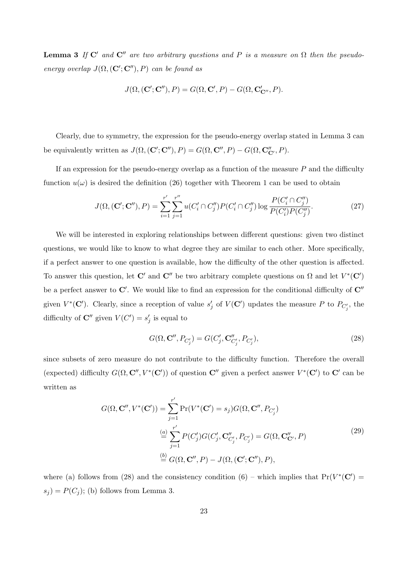**Lemma 3** *If*  $\mathbb{C}'$  *and*  $\mathbb{C}''$  *are two arbitrary questions and P is a measure on*  $\Omega$  *then the pseudoenergy overlap*  $J(\Omega, (\mathbf{C}'; \mathbf{C}''), P)$  *can be found as* 

$$
J(\Omega, (\mathbf{C}'; \mathbf{C}''), P) = G(\Omega, \mathbf{C}', P) - G(\Omega, \mathbf{C}'_{\mathbf{C}''}, P).
$$

Clearly, due to symmetry, the expression for the pseudo-energy overlap stated in Lemma 3 can be equivalently written as  $J(\Omega, (\mathbf{C}'; \mathbf{C}''), P) = G(\Omega, \mathbf{C}'', P) - G(\Omega, \mathbf{C''}_{\mathbf{C}'}, P)$ .

If an expression for the pseudo-energy overlap as a function of the measure *P* and the difficulty function  $u(\omega)$  is desired the definition (26) together with Theorem 1 can be used to obtain

$$
J(\Omega, (\mathbf{C}'; \mathbf{C}''), P) = \sum_{i=1}^{r'} \sum_{j=1}^{r''} u(C_i' \cap C_j'') P(C_i' \cap C_j'') \log \frac{P(C_i' \cap C_j'')}{P(C_i') P(C_j'')}.
$$
(27)

We will be interested in exploring relationships between different questions: given two distinct questions, we would like to know to what degree they are similar to each other. More specifically, if a perfect answer to one question is available, how the difficulty of the other question is affected. To answer this question, let **C**<sup>*'*</sup> and **C**<sup>*''*</sup> be two arbitrary complete questions on  $\Omega$  and let  $V^*(\mathbf{C}')$ be a perfect answer to **C***′* . We would like to find an expression for the conditional difficulty of **C***′′* given  $V^*(\mathbf{C}')$ . Clearly, since a reception of value  $s'_j$  of  $V(\mathbf{C}')$  updates the measure P to  $P_{C'_j}$ , the difficulty of  $\mathbb{C}''$  given  $V(C') = s'_j$  is equal to

$$
G(\Omega, \mathbf{C''}, P_{C'_j}) = G(C'_j, \mathbf{C''}_{C'_j}, P_{C'_j}),
$$
\n(28)

since subsets of zero measure do not contribute to the difficulty function. Therefore the overall (expected) difficulty  $G(\Omega, \mathbb{C}'' , V^*(\mathbb{C}'))$  of question  $\mathbb{C}''$  given a perfect answer  $V^*(\mathbb{C}^{\prime})$  to  $\mathbb{C}^{\prime}$  can be written as

$$
G(\Omega, \mathbf{C}'', V^*(\mathbf{C}')) = \sum_{j=1}^{r'} \Pr(V^*(\mathbf{C}') = s_j) G(\Omega, \mathbf{C}'', P_{C'_j})
$$
  
\n
$$
\stackrel{(a)}{=} \sum_{j=1}^{r'} P(C'_j) G(C'_j, \mathbf{C}_{C'_j}'', P_{C'_j}) = G(\Omega, \mathbf{C}_{\mathbf{C}'}, P)
$$
  
\n
$$
\stackrel{(b)}{=} G(\Omega, \mathbf{C}'', P) - J(\Omega, (\mathbf{C}'; \mathbf{C}''), P),
$$
\n(29)

where (a) follows from (28) and the consistency condition (6) – which implies that  $Pr(V^*(C'))$  $s_j$ ) =  $P(C_j)$ ; (b) follows from Lemma 3.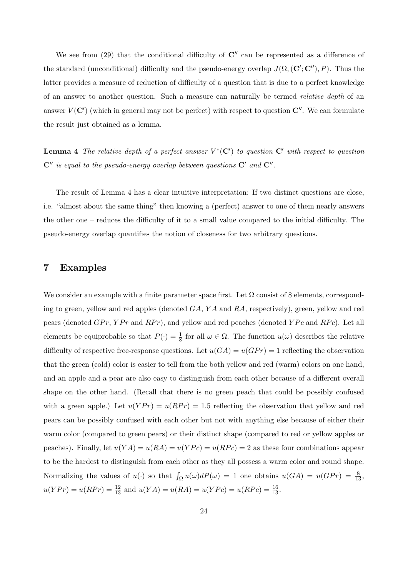We see from (29) that the conditional difficulty of  $\mathbb{C}^{\prime\prime}$  can be represented as a difference of the standard (unconditional) difficulty and the pseudo-energy overlap  $J(\Omega, (\mathbf{C}'; \mathbf{C}''), P)$ . Thus the latter provides a measure of reduction of difficulty of a question that is due to a perfect knowledge of an answer to another question. Such a measure can naturally be termed *relative depth* of an answer *V* (**C***′* ) (which in general may not be perfect) with respect to question **C***′′*. We can formulate the result just obtained as a lemma.

**Lemma 4** *The relative depth of a perfect answer V ∗* (**C***′* ) *to question* **C***′ with respect to question* **C***′′ is equal to the pseudo-energy overlap between questions* **C***′ and* **C***′′ .*

The result of Lemma 4 has a clear intuitive interpretation: If two distinct questions are close, i.e. "almost about the same thing" then knowing a (perfect) answer to one of them nearly answers the other one – reduces the difficulty of it to a small value compared to the initial difficulty. The pseudo-energy overlap quantifies the notion of closeness for two arbitrary questions.

### **7 Examples**

We consider an example with a finite parameter space first. Let  $\Omega$  consist of 8 elements, corresponding to green, yellow and red apples (denoted *GA*, *Y A* and *RA*, respectively), green, yellow and red pears (denoted *GPr*, *YPr* and *RPr*), and yellow and red peaches (denoted *YPc* and *RPc*). Let all elements be equiprobable so that  $P(\cdot) = \frac{1}{8}$  for all  $\omega \in \Omega$ . The function  $u(\omega)$  describes the relative difficulty of respective free-response questions. Let  $u(GA) = u(GPr) = 1$  reflecting the observation that the green (cold) color is easier to tell from the both yellow and red (warm) colors on one hand, and an apple and a pear are also easy to distinguish from each other because of a different overall shape on the other hand. (Recall that there is no green peach that could be possibly confused with a green apple.) Let  $u(YPr) = u(RPr) = 1.5$  reflecting the observation that yellow and red pears can be possibly confused with each other but not with anything else because of either their warm color (compared to green pears) or their distinct shape (compared to red or yellow apples or peaches). Finally, let  $u(YA) = u(RA) = u(YPc) = u(RPc) = 2$  as these four combinations appear to be the hardest to distinguish from each other as they all possess a warm color and round shape. Normalizing the values of  $u(\cdot)$  so that  $\int_{\Omega} u(\omega) dP(\omega) = 1$  one obtains  $u(GA) = u(GPr) = \frac{8}{13}$ ,  $u(YPr) = u(RPr) = \frac{12}{13}$  and  $u(YA) = u(RA) = u(YPc) = u(RPc) = \frac{16}{13}$ .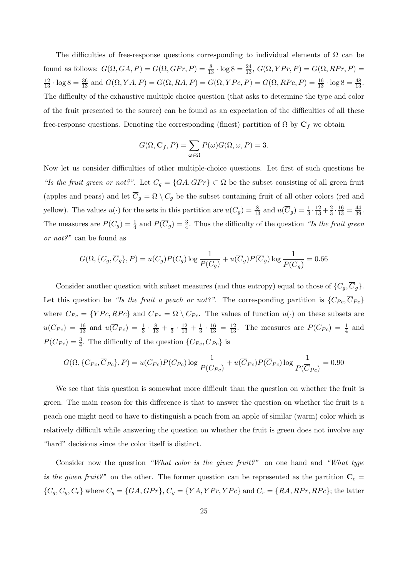The difficulties of free-response questions corresponding to individual elements of  $\Omega$  can be *found as follows:*  $G(\Omega, GA, P) = G(\Omega, GPr, P) = \frac{8}{13} \cdot \log 8 = \frac{24}{13}$ ,  $G(\Omega, YPr, P) = G(\Omega, RPr, P) = \frac{24}{13}$  $\frac{12}{13} \cdot \log 8 = \frac{36}{13}$  and  $G(\Omega, YA, P) = G(\Omega, RA, P) = G(\Omega, YPc, P) = G(\Omega, RPc, P) = \frac{16}{13} \cdot \log 8 = \frac{48}{13}$ . The difficulty of the exhaustive multiple choice question (that asks to determine the type and color of the fruit presented to the source) can be found as an expectation of the difficulties of all these free-response questions. Denoting the corresponding (finest) partition of  $\Omega$  by  $\mathbf{C}_f$  we obtain

$$
G(\Omega, \mathbf{C}_f, P) = \sum_{\omega \in \Omega} P(\omega) G(\Omega, \omega, P) = 3.
$$

Now let us consider difficulties of other multiple-choice questions. Let first of such questions be *"Is the fruit green or not?".* Let  $C_g = \{GA, GPr\} \subset \Omega$  be the subset consisting of all green fruit (apples and pears) and let  $\overline{C}_g = \Omega \setminus C_g$  be the subset containing fruit of all other colors (red and yellow). The values  $u(\cdot)$  for the sets in this partition are  $u(C_g) = \frac{8}{13}$  and  $u(\overline{C}_g) = \frac{1}{3} \cdot \frac{12}{13} + \frac{2}{3}$  $\frac{2}{3} \cdot \frac{16}{13} = \frac{44}{39}.$ The measures are  $P(C_g) = \frac{1}{4}$  and  $P(\overline{C}_g) = \frac{3}{4}$ . Thus the difficulty of the question *"Is the fruit green or not?"* can be found as

$$
G(\Omega, \{C_g, \overline{C}_g\}, P) = u(C_g)P(C_g)\log\frac{1}{P(C_g)} + u(\overline{C}_g)P(\overline{C}_g)\log\frac{1}{P(\overline{C}_g)} = 0.66
$$

Consider another question with subset measures (and thus entropy) equal to those of  $\{C_g, C_g\}$ . Let this question be *"Is the fruit a peach or not?"*. The corresponding partition is  $\{C_{Pc}, \overline{C}_{Pc}\}$ where  $C_{Pc} = \{YPc, RPc\}$  and  $\overline{C}_{Pc} = \Omega \setminus C_{Pc}$ . The values of function  $u(\cdot)$  on these subsets are  $u(C_{P_c}) = \frac{16}{13}$  and  $u(\overline{C}_{P_c}) = \frac{1}{3} \cdot \frac{8}{13} + \frac{1}{3}$  $\frac{1}{3} \cdot \frac{12}{13} + \frac{1}{3}$  $\frac{1}{3} \cdot \frac{16}{13} = \frac{12}{13}$ . The measures are  $P(C_{Pc}) = \frac{1}{4}$  and  $P(\overline{C}_{Pc}) = \frac{3}{4}$ . The difficulty of the question  $\{C_{Pc}, \overline{C}_{Pc}\}$  is

$$
G(\Omega, \{C_{Pc}, \overline{C}_{Pc}\}, P) = u(C_{Pc})P(C_{Pc})\log\frac{1}{P(C_{Pc})} + u(\overline{C}_{Pc})P(\overline{C}_{Pc})\log\frac{1}{P(\overline{C}_{Pc})} = 0.90
$$

We see that this question is somewhat more difficult than the question on whether the fruit is green. The main reason for this difference is that to answer the question on whether the fruit is a peach one might need to have to distinguish a peach from an apple of similar (warm) color which is relatively difficult while answering the question on whether the fruit is green does not involve any "hard" decisions since the color itself is distinct.

Consider now the question *"What color is the given fruit?"* on one hand and *"What type is the given fruit?"* on the other. The former question can be represented as the partition  $C_c =$  $\{C_g, C_y, C_r\}$  where  $C_g = \{GA, GPr\}$ ,  $C_y = \{YA, YPr, YPr\}$  and  $C_r = \{RA, RPr, RPr\}$ ; the latter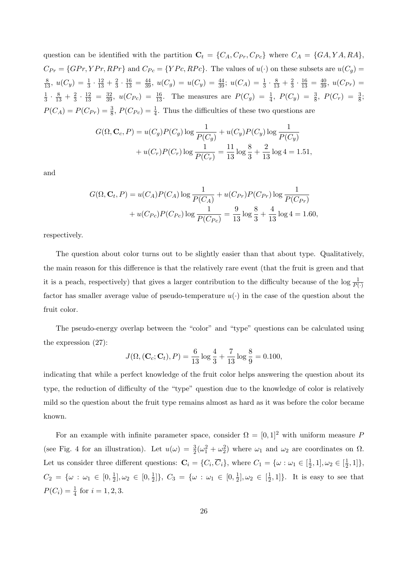question can be identified with the partition  $\mathbf{C}_t = \{C_A, C_{Pr}, C_{P_c}\}$  where  $C_A = \{GA, YA, RA\}$ ,  $C_{Pr} = \{GPr, YPr, RPr\}$  and  $C_{Pc} = \{YPc, RPr\}$ . The values of  $u(\cdot)$  on these subsets are  $u(C_g)$  $\frac{8}{13}$ ,  $u(C_y) = \frac{1}{3} \cdot \frac{12}{13} + \frac{2}{3}$  $\frac{2}{3} \cdot \frac{16}{13} = \frac{44}{39}, u(C_g) = u(C_g) = \frac{44}{39}; u(C_A) = \frac{1}{3} \cdot \frac{8}{13} + \frac{2}{3}$  $\frac{2}{3} \cdot \frac{16}{13} = \frac{40}{39}, u(C_{Pr}) =$ 1  $\frac{1}{3} \cdot \frac{8}{13} + \frac{2}{3}$  $\frac{2}{3} \cdot \frac{12}{13} = \frac{32}{39}, u(C_{Pc}) = \frac{16}{13}.$  The measures are  $P(C_g) = \frac{1}{4}, P(C_y) = \frac{3}{8}, P(C_r) = \frac{3}{8};$  $P(C_A) = P(C_{Pr}) = \frac{3}{8}$ ,  $P(C_{Pr}) = \frac{1}{4}$ . Thus the difficulties of these two questions are

$$
G(\Omega, \mathbf{C}_c, P) = u(C_g)P(C_g) \log \frac{1}{P(C_g)} + u(C_y)P(C_y) \log \frac{1}{P(C_y)} + u(C_r)P(C_r) \log \frac{1}{P(C_r)} = \frac{11}{13} \log \frac{8}{3} + \frac{2}{13} \log 4 = 1.51,
$$

and

$$
G(\Omega, \mathbf{C}_t, P) = u(C_A)P(C_A)\log\frac{1}{P(C_A)} + u(C_{Pr})P(C_{Pr})\log\frac{1}{P(C_{Pr})} + u(C_{Pr})P(C_{Pr})\log\frac{1}{P(C_{Pr})} = \frac{9}{13}\log\frac{8}{3} + \frac{4}{13}\log 4 = 1.60,
$$

respectively.

The question about color turns out to be slightly easier than that about type. Qualitatively, the main reason for this difference is that the relatively rare event (that the fruit is green and that it is a peach, respectively) that gives a larger contribution to the difficulty because of the  $\log \frac{1}{P(\cdot)}$ factor has smaller average value of pseudo-temperature  $u(\cdot)$  in the case of the question about the fruit color.

The pseudo-energy overlap between the "color" and "type" questions can be calculated using the expression (27):

$$
J(\Omega, (\mathbf{C}_c; \mathbf{C}_t), P) = \frac{6}{13} \log \frac{4}{3} + \frac{7}{13} \log \frac{8}{9} = 0.100,
$$

indicating that while a perfect knowledge of the fruit color helps answering the question about its type, the reduction of difficulty of the "type" question due to the knowledge of color is relatively mild so the question about the fruit type remains almost as hard as it was before the color became known.

For an example with infinite parameter space, consider  $\Omega = [0,1]^2$  with uniform measure *P* (see Fig. 4 for an illustration). Let  $u(\omega) = \frac{3}{2}(\omega_1^2 + \omega_2^2)$  where  $\omega_1$  and  $\omega_2$  are coordinates on  $\Omega$ . Let us consider three different questions:  $\mathbf{C}_i = \{C_i, \overline{C}_i\}$ , where  $C_1 = \{\omega : \omega_1 \in [\frac{1}{2}, \overline{C}_i\}]$  $\frac{1}{2}, 1], \omega_2 \in [\frac{1}{2}]$  $\frac{1}{2}, 1]$ ,  $C_2 = \{\omega : \omega_1 \in [0, \frac{1}{2}]$  $\frac{1}{2}$ ,  $\omega_2 \in [0, \frac{1}{2}]$  $\frac{1}{2}$ ]},  $C_3 = \{ \omega : \omega_1 \in [0, \frac{1}{2}]$  $\frac{1}{2}$ ,  $\omega_2 \in \left[\frac{1}{2}\right]$  $\left[\frac{1}{2}, 1\right]$ . It is easy to see that  $P(C_i) = \frac{1}{4}$  for  $i = 1, 2, 3$ .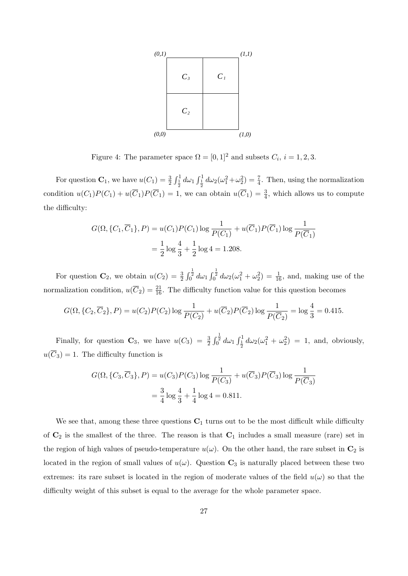

Figure 4: The parameter space  $\Omega = [0, 1]^2$  and subsets  $C_i$ ,  $i = 1, 2, 3$ .

For question  $\mathbf{C}_1$ , we have  $u(C_1) = \frac{3}{2} \int_{\frac{1}{2}}^1 d\omega_1 \int_{\frac{1}{2}}^1 d\omega_2 (\omega_1^2 + \omega_2^2) = \frac{7}{4}$ . Then, using the normalization condition  $u(C_1)P(C_1) + u(\overline{C}_1)P(\overline{C}_1) = 1$ , we can obtain  $u(\overline{C}_1) = \frac{3}{4}$ , which allows us to compute the difficulty:

$$
G(\Omega, \{C_1, \overline{C}_1\}, P) = u(C_1)P(C_1)\log\frac{1}{P(C_1)} + u(\overline{C}_1)P(\overline{C}_1)\log\frac{1}{P(\overline{C}_1)}
$$
  
=  $\frac{1}{2}\log\frac{4}{3} + \frac{1}{2}\log 4 = 1.208.$ 

For question  $\mathbf{C}_2$ , we obtain  $u(C_2) = \frac{3}{2} \int_0^{\frac{1}{2}} d\omega_1 \int_0^{\frac{1}{2}} d\omega_2 (\omega_1^2 + \omega_2^2) = \frac{1}{16}$ , and, making use of the normalization condition,  $u(\overline{C}_2) = \frac{21}{16}$ . The difficulty function value for this question becomes

$$
G(\Omega, \{C_2, \overline{C}_2\}, P) = u(C_2)P(C_2)\log\frac{1}{P(C_2)} + u(\overline{C}_2)P(\overline{C}_2)\log\frac{1}{P(\overline{C}_2)} = \log\frac{4}{3} = 0.415.
$$

Finally, for question  $\mathbf{C}_3$ , we have  $u(C_3) = \frac{3}{2} \int_0^{\frac{1}{2}} d\omega_1 \int_{\frac{1}{2}}^1 d\omega_2 (\omega_1^2 + \omega_2^2) = 1$ , and, obviously,  $u(\overline{C}_3) = 1$ . The difficulty function is

$$
G(\Omega, \{C_3, \overline{C}_3\}, P) = u(C_3)P(C_3)\log\frac{1}{P(C_3)} + u(\overline{C}_3)P(\overline{C}_3)\log\frac{1}{P(\overline{C}_3)}
$$
  
=  $\frac{3}{4}\log\frac{4}{3} + \frac{1}{4}\log 4 = 0.811.$ 

We see that, among these three questions  $C_1$  turns out to be the most difficult while difficulty of  $\mathbb{C}_2$  is the smallest of the three. The reason is that  $\mathbb{C}_1$  includes a small measure (rare) set in the region of high values of pseudo-temperature  $u(\omega)$ . On the other hand, the rare subset in  $\mathbb{C}_2$  is located in the region of small values of  $u(\omega)$ . Question  $\mathbf{C}_3$  is naturally placed between these two extremes: its rare subset is located in the region of moderate values of the field  $u(\omega)$  so that the difficulty weight of this subset is equal to the average for the whole parameter space.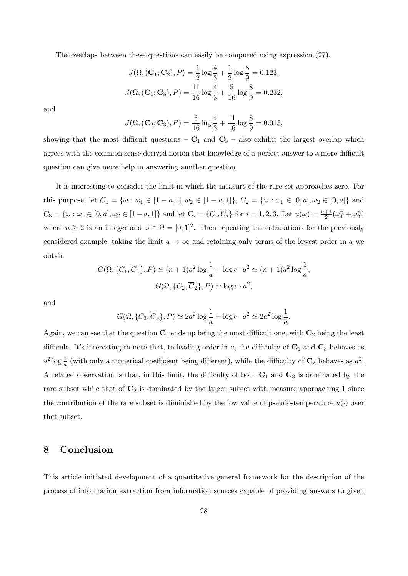The overlaps between these questions can easily be computed using expression (27).

$$
J(\Omega, (\mathbf{C}_1; \mathbf{C}_2), P) = \frac{1}{2} \log \frac{4}{3} + \frac{1}{2} \log \frac{8}{9} = 0.123,
$$
  

$$
J(\Omega, (\mathbf{C}_1; \mathbf{C}_3), P) = \frac{11}{16} \log \frac{4}{3} + \frac{5}{16} \log \frac{8}{9} = 0.232,
$$

and

$$
J(\Omega, (\mathbf{C}_2; \mathbf{C}_3), P) = \frac{5}{16} \log \frac{4}{3} + \frac{11}{16} \log \frac{8}{9} = 0.013,
$$

showing that the most difficult questions  $-\mathbf{C}_1$  and  $\mathbf{C}_3$  – also exhibit the largest overlap which agrees with the common sense derived notion that knowledge of a perfect answer to a more difficult question can give more help in answering another question.

It is interesting to consider the limit in which the measure of the rare set approaches zero. For this purpose, let  $C_1 = \{ \omega : \omega_1 \in [1 - a, 1], \omega_2 \in [1 - a, 1] \}, C_2 = \{ \omega : \omega_1 \in [0, a], \omega_2 \in [0, a] \}$  and  $C_3 = \{\omega : \omega_1 \in [0, a], \omega_2 \in [1 - a, 1]\}$  and let  $\mathbf{C}_i = \{C_i, \overline{C}_i\}$  for  $i = 1, 2, 3$ . Let  $u(\omega) = \frac{n+1}{2}(\omega_1^n + \omega_2^n)$ where  $n \geq 2$  is an integer and  $\omega \in \Omega = [0,1]^2$ . Then repeating the calculations for the previously considered example, taking the limit  $a \to \infty$  and retaining only terms of the lowest order in *a* we obtain

$$
G(\Omega, \{C_1, \overline{C}_1\}, P) \simeq (n+1)a^2 \log \frac{1}{a} + \log e \cdot a^2 \simeq (n+1)a^2 \log \frac{1}{a},
$$
  

$$
G(\Omega, \{C_2, \overline{C}_2\}, P) \simeq \log e \cdot a^2,
$$

and

$$
G(\Omega, \{C_3, \overline{C}_3\}, P) \simeq 2a^2 \log \frac{1}{a} + \log e \cdot a^2 \simeq 2a^2 \log \frac{1}{a}.
$$

Again, we can see that the question **C**<sup>1</sup> ends up being the most difficult one, with **C**<sup>2</sup> being the least difficult. It's interesting to note that, to leading order in *a*, the difficulty of **C**<sup>1</sup> and **C**<sup>3</sup> behaves as  $a^2$  log  $\frac{1}{a}$  (with only a numerical coefficient being different), while the difficulty of  $\mathbb{C}_2$  behaves as  $a^2$ . A related observation is that, in this limit, the difficulty of both  $C_1$  and  $C_3$  is dominated by the rare subset while that of  $\mathbb{C}_2$  is dominated by the larger subset with measure approaching 1 since the contribution of the rare subset is diminished by the low value of pseudo-temperature  $u(\cdot)$  over that subset.

## **8 Conclusion**

This article initiated development of a quantitative general framework for the description of the process of information extraction from information sources capable of providing answers to given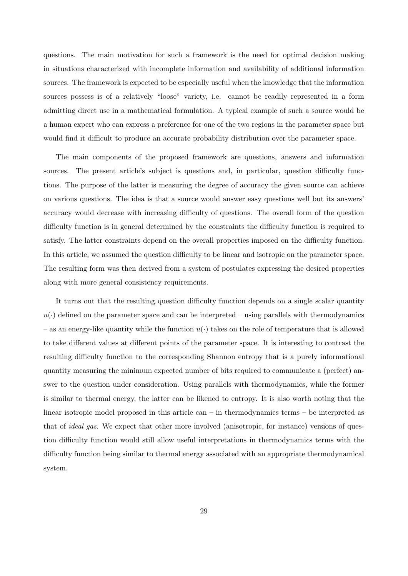questions. The main motivation for such a framework is the need for optimal decision making in situations characterized with incomplete information and availability of additional information sources. The framework is expected to be especially useful when the knowledge that the information sources possess is of a relatively "loose" variety, i.e. cannot be readily represented in a form admitting direct use in a mathematical formulation. A typical example of such a source would be a human expert who can express a preference for one of the two regions in the parameter space but would find it difficult to produce an accurate probability distribution over the parameter space.

The main components of the proposed framework are questions, answers and information sources. The present article's subject is questions and, in particular, question difficulty functions. The purpose of the latter is measuring the degree of accuracy the given source can achieve on various questions. The idea is that a source would answer easy questions well but its answers' accuracy would decrease with increasing difficulty of questions. The overall form of the question difficulty function is in general determined by the constraints the difficulty function is required to satisfy. The latter constraints depend on the overall properties imposed on the difficulty function. In this article, we assumed the question difficulty to be linear and isotropic on the parameter space. The resulting form was then derived from a system of postulates expressing the desired properties along with more general consistency requirements.

It turns out that the resulting question difficulty function depends on a single scalar quantity  $u(\cdot)$  defined on the parameter space and can be interpreted – using parallels with thermodynamics – as an energy-like quantity while the function  $u(\cdot)$  takes on the role of temperature that is allowed to take different values at different points of the parameter space. It is interesting to contrast the resulting difficulty function to the corresponding Shannon entropy that is a purely informational quantity measuring the minimum expected number of bits required to communicate a (perfect) answer to the question under consideration. Using parallels with thermodynamics, while the former is similar to thermal energy, the latter can be likened to entropy. It is also worth noting that the linear isotropic model proposed in this article can – in thermodynamics terms – be interpreted as that of *ideal gas*. We expect that other more involved (anisotropic, for instance) versions of question difficulty function would still allow useful interpretations in thermodynamics terms with the difficulty function being similar to thermal energy associated with an appropriate thermodynamical system.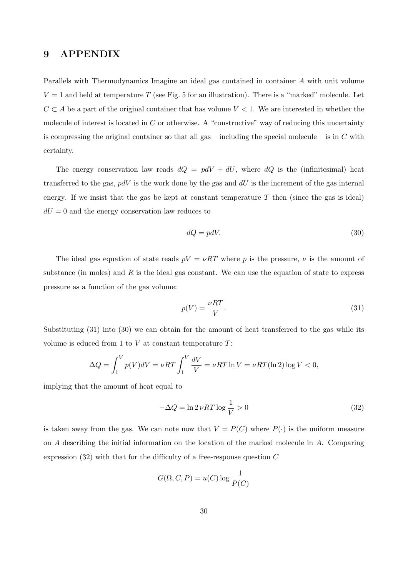## **9 APPENDIX**

Parallels with Thermodynamics Imagine an ideal gas contained in container *A* with unit volume  $V = 1$  and held at temperature *T* (see Fig. 5 for an illustration). There is a "marked" molecule. Let *C*  $\subset$  *A* be a part of the original container that has volume *V* < 1. We are interested in whether the molecule of interest is located in *C* or otherwise. A "constructive" way of reducing this uncertainty is compressing the original container so that all gas – including the special molecule – is in *C* with certainty.

The energy conservation law reads  $dQ = pdV + dU$ , where  $dQ$  is the (infinitesimal) heat transferred to the gas, *pdV* is the work done by the gas and *dU* is the increment of the gas internal energy. If we insist that the gas be kept at constant temperature  $T$  then (since the gas is ideal)  $dU = 0$  and the energy conservation law reduces to

$$
dQ = pdV.\tag{30}
$$

The ideal gas equation of state reads  $pV = \nu RT$  where p is the pressure,  $\nu$  is the amount of substance (in moles) and  $R$  is the ideal gas constant. We can use the equation of state to express pressure as a function of the gas volume:

$$
p(V) = \frac{\nu RT}{V}.\tag{31}
$$

Substituting (31) into (30) we can obtain for the amount of heat transferred to the gas while its volume is educed from 1 to *V* at constant temperature *T*:

$$
\Delta Q = \int_1^V p(V)dV = \nu RT \int_1^V \frac{dV}{V} = \nu RT \ln V = \nu RT (\ln 2) \log V < 0,
$$

implying that the amount of heat equal to

$$
-\Delta Q = \ln 2 \nu RT \log \frac{1}{V} > 0
$$
\n(32)

is taken away from the gas. We can note now that  $V = P(C)$  where  $P(\cdot)$  is the uniform measure on *A* describing the initial information on the location of the marked molecule in *A*. Comparing expression (32) with that for the difficulty of a free-response question *C*

$$
G(\Omega, C, P) = u(C) \log \frac{1}{P(C)}
$$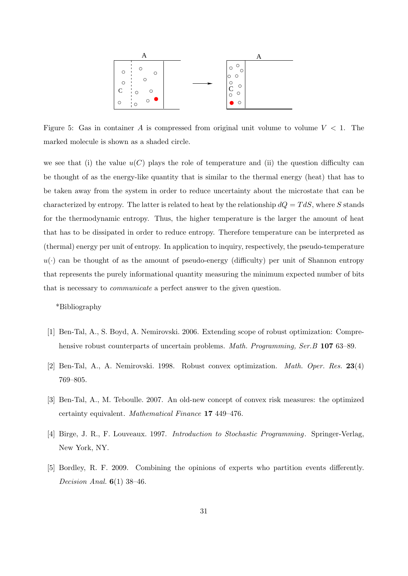

Figure 5: Gas in container *A* is compressed from original unit volume to volume *V <* 1. The marked molecule is shown as a shaded circle.

we see that (i) the value  $u(C)$  plays the role of temperature and (ii) the question difficulty can be thought of as the energy-like quantity that is similar to the thermal energy (heat) that has to be taken away from the system in order to reduce uncertainty about the microstate that can be characterized by entropy. The latter is related to heat by the relationship  $dQ = T dS$ , where *S* stands for the thermodynamic entropy. Thus, the higher temperature is the larger the amount of heat that has to be dissipated in order to reduce entropy. Therefore temperature can be interpreted as (thermal) energy per unit of entropy. In application to inquiry, respectively, the pseudo-temperature  $u(\cdot)$  can be thought of as the amount of pseudo-energy (difficulty) per unit of Shannon entropy that represents the purely informational quantity measuring the minimum expected number of bits that is necessary to *communicate* a perfect answer to the given question.

\*Bibliography

- [1] Ben-Tal, A., S. Boyd, A. Nemirovski. 2006. Extending scope of robust optimization: Comprehensive robust counterparts of uncertain problems. *Math. Programming, Ser.B* **107** 63–89.
- [2] Ben-Tal, A., A. Nemirovski. 1998. Robust convex optimization. *Math. Oper. Res.* **23**(4) 769–805.
- [3] Ben-Tal, A., M. Teboulle. 2007. An old-new concept of convex risk measures: the optimized certainty equivalent. *Mathematical Finance* **17** 449–476.
- [4] Birge, J. R., F. Louveaux. 1997. *Introduction to Stochastic Programming*. Springer-Verlag, New York, NY.
- [5] Bordley, R. F. 2009. Combining the opinions of experts who partition events differently. *Decision Anal.* **6**(1) 38–46.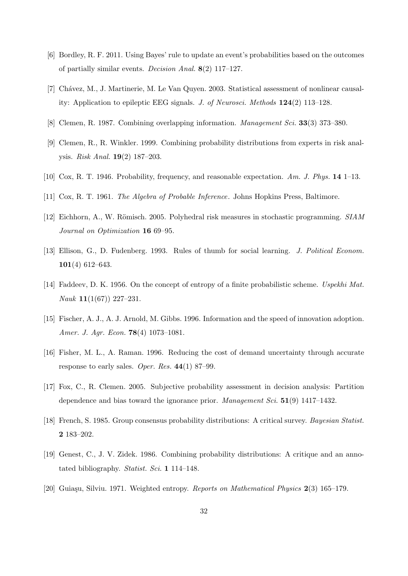- [6] Bordley, R. F. 2011. Using Bayes' rule to update an event's probabilities based on the outcomes of partially similar events. *Decision Anal.* **8**(2) 117–127.
- [7] Chávez, M., J. Martinerie, M. Le Van Quyen. 2003. Statistical assessment of nonlinear causality: Application to epileptic EEG signals. *J. of Neurosci. Methods* **124**(2) 113–128.
- [8] Clemen, R. 1987. Combining overlapping information. *Management Sci.* **33**(3) 373–380.
- [9] Clemen, R., R. Winkler. 1999. Combining probability distributions from experts in risk analysis. *Risk Anal.* **19**(2) 187–203.
- [10] Cox, R. T. 1946. Probability, frequency, and reasonable expectation. *Am. J. Phys.* **14** 1–13.
- [11] Cox, R. T. 1961. *The Algebra of Probable Inference*. Johns Hopkins Press, Baltimore.
- [12] Eichhorn, A., W. Römisch. 2005. Polyhedral risk measures in stochastic programming. *SIAM Journal on Optimization* **16** 69–95.
- [13] Ellison, G., D. Fudenberg. 1993. Rules of thumb for social learning. *J. Political Econom.* **101**(4) 612–643.
- [14] Faddeev, D. K. 1956. On the concept of entropy of a finite probabilistic scheme. *Uspekhi Mat. Nauk* **11**(1(67)) 227–231.
- [15] Fischer, A. J., A. J. Arnold, M. Gibbs. 1996. Information and the speed of innovation adoption. *Amer. J. Agr. Econ.* **78**(4) 1073–1081.
- [16] Fisher, M. L., A. Raman. 1996. Reducing the cost of demand uncertainty through accurate response to early sales. *Oper. Res.* **44**(1) 87–99.
- [17] Fox, C., R. Clemen. 2005. Subjective probability assessment in decision analysis: Partition dependence and bias toward the ignorance prior. *Management Sci.* **51**(9) 1417–1432.
- [18] French, S. 1985. Group consensus probability distributions: A critical survey. *Bayesian Statist.* **2** 183–202.
- [19] Genest, C., J. V. Zidek. 1986. Combining probability distributions: A critique and an annotated bibliography. *Statist. Sci.* **1** 114–148.
- [20] Guia¸su, Silviu. 1971. Weighted entropy. *Reports on Mathematical Physics* **2**(3) 165–179.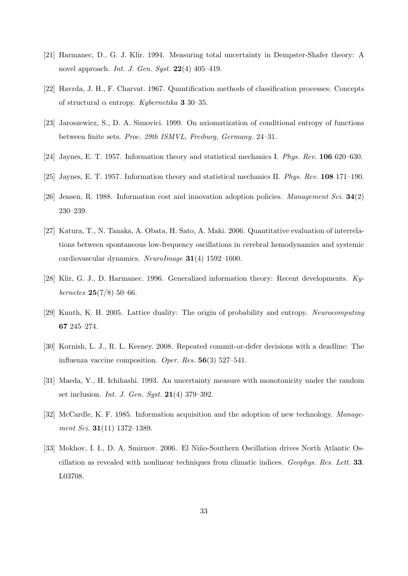- [21] Harmanec, D., G. J. Klir. 1994. Measuring total uncertainty in Dempster-Shafer theory: A novel approach. *Int. J. Gen. Syst.* **22**(4) 405–419.
- [22] Havrda, J. H., F. Charvat. 1967. Quantification methods of classification processes: Concepts of structural *α* entropy. *Kybernetika* **3** 30–35.
- [23] Jaroszewicz, S., D. A. Simovici. 1999. On axiomatization of conditional entropy of functions between finite sets. *Proc. 29th ISMVL, Freiburg, Germany*. 24–31.
- [24] Jaynes, E. T. 1957. Information theory and statistical mechanics I. *Phys. Rev.* **106** 620–630.
- [25] Jaynes, E. T. 1957. Information theory and statistical mechanics II. *Phys. Rev.* **108** 171–190.
- [26] Jensen, R. 1988. Information cost and innovation adoption policies. *Management Sci.* **34**(2) 230–239.
- [27] Katura, T., N. Tanaka, A. Obata, H. Sato, A. Maki. 2006. Quantitative evaluation of interrelations between spontaneous low-frequency oscillations in cerebral hemodynamics and systemic cardiovascular dynamics. *NeuroImage* **31**(4) 1592–1600.
- [28] Klir, G. J., D. Harmanec. 1996. Generalized information theory: Recent developments. *Kybernetes* **25**(7/8) 50–66.
- [29] Knuth, K. H. 2005. Lattice duality: The origin of probability and entropy. *Neurocomputing* **67** 245–274.
- [30] Kornish, L. J., R. L. Keeney. 2008. Repeated commit-or-defer decisions with a deadline: The influenza vaccine composition. *Oper. Res.* **56**(3) 527–541.
- [31] Maeda, Y., H. Ichihashi. 1993. An uncertainty measure with monotonicity under the random set inclusion. *Int. J. Gen. Syst.* **21**(4) 379–392.
- [32] McCardle, K. F. 1985. Information acquisition and the adoption of new technology. *Management Sci.* **31**(11) 1372–1389.
- [33] Mokhov, I. I., D. A. Smirnov. 2006. El Niño-Southern Oscillation drives North Atlantic Oscillation as revealed with nonlinear techniques from climatic indices. *Geophys. Res. Lett.* **33**. L03708.